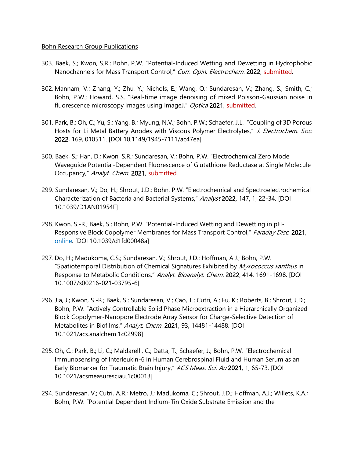## Bohn Research Group Publications

- 303. Baek, S.; Kwon, S.R.; Bohn, P.W. "Potential-Induced Wetting and Dewetting in Hydrophobic Nanochannels for Mass Transport Control," Curr. Opin. Electrochem. 2022, submitted.
- 302. Mannam, V.; Zhang, Y.; Zhu, Y.; Nichols, E.; Wang, Q.; Sundaresan, V.; Zhang, S.; Smith, C.; Bohn, P.W.; Howard, S.S. "Real-time image denoising of mixed Poisson-Gaussian noise in fluorescence microscopy images using ImageJ," Optica 2021, submitted.
- 301. Park, B.; Oh, C.; Yu, S.; Yang, B.; Myung, N.V.; Bohn, P.W.; Schaefer, J.L. "Coupling of 3D Porous Hosts for Li Metal Battery Anodes with Viscous Polymer Electrolytes," J. Electrochem. Soc. 2022, 169, 010511. [DOI 10.1149/1945-7111/ac47ea]
- 300. Baek, S.; Han, D.; Kwon, S.R.; Sundaresan, V.; Bohn, P.W. "Electrochemical Zero Mode Waveguide Potential-Dependent Fluorescence of Glutathione Reductase at Single Molecule Occupancy," Analyt. Chem. 2021, submitted.
- 299. Sundaresan, V.; Do, H.; Shrout, J.D.; Bohn, P.W. "Electrochemical and Spectroelectrochemical Characterization of Bacteria and Bacterial Systems," Analyst 2022, 147, 1, 22-34. [DOI 10.1039/D1AN01954F]
- 298. Kwon, S.-R.; Baek, S.; Bohn, P.W. "Potential-Induced Wetting and Dewetting in pH-Responsive Block Copolymer Membranes for Mass Transport Control," Faraday Disc. 2021, online. [DOI 10.1039/d1fd00048a]
- 297. Do, H.; Madukoma, C.S.; Sundaresan, V.; Shrout, J.D.; Hoffman, A.J.; Bohn, P.W. "Spatiotemporal Distribution of Chemical Signatures Exhibited by Myxococcus xanthus in Response to Metabolic Conditions," Analyt. Bioanalyt. Chem. 2022, 414, 1691-1698. [DOI 10.1007/s00216-021-03795-6]
- 296. Jia, J.; Kwon, S.-R.; Baek, S.; Sundaresan, V.; Cao, T.; Cutri, A.; Fu, K.; Roberts, B.; Shrout, J.D.; Bohn, P.W. "Actively Controllable Solid Phase Microextraction in a Hierarchically Organized Block Copolymer-Nanopore Electrode Array Sensor for Charge-Selective Detection of Metabolites in Biofilms," Analyt. Chem. 2021, 93, 14481-14488. [DOI 10.1021/acs.analchem.1c02998]
- 295. Oh, C.; Park, B.; Li, C.; Maldarelli, C.; Datta, T.; Schaefer, J.; Bohn, P.W. "Electrochemical Immunosensing of Interleukin-6 in Human Cerebrospinal Fluid and Human Serum as an Early Biomarker for Traumatic Brain Injury," ACS Meas. Sci. Au 2021, 1, 65-73. [DOI 10.1021/acsmeasuresciau.1c00013]
- 294. Sundaresan, V.; Cutri, A.R.; Metro, J.; Madukoma, C.; Shrout, J.D.; Hoffman, A.J.; Willets, K.A.; Bohn, P.W. "Potential Dependent Indium-Tin Oxide Substrate Emission and the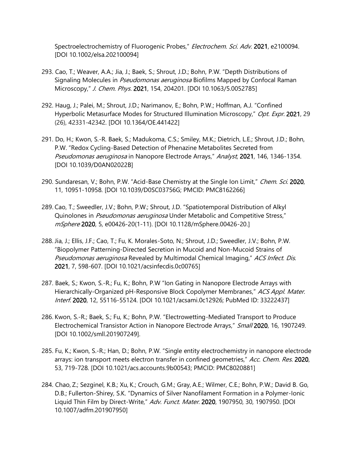Spectroelectrochemistry of Fluorogenic Probes," Electrochem. Sci. Adv. 2021, e2100094. [DOI 10.1002/elsa.202100094]

- 293. Cao, T.; Weaver, A.A.; Jia, J.; Baek, S.; Shrout, J.D.; Bohn, P.W. "Depth Distributions of Signaling Molecules in *Pseudomonas aeruginosa* Biofilms Mapped by Confocal Raman Microscopy," J. Chem. Phys. 2021, 154, 204201. [DOI 10.1063/5.0052785]
- 292. Haug, J.; Palei, M.; Shrout, J.D.; Narimanov, E.; Bohn, P.W.; Hoffman, A.J. "Confined Hyperbolic Metasurface Modes for Structured Illumination Microscopy," Opt. Expr. 2021, 29 (26), 42331-42342. [DOI 10.1364/OE.441422]
- 291. Do, H.; Kwon, S.-R. Baek, S.; Madukoma, C.S.; Smiley, M.K.; Dietrich, L.E.; Shrout, J.D.; Bohn, P.W. "Redox Cycling-Based Detection of Phenazine Metabolites Secreted from Pseudomonas aeruginosa in Nanopore Electrode Arrays," Analyst, 2021, 146, 1346-1354. [DOI 10.1039/D0AN02022B]
- 290. Sundaresan, V.; Bohn, P.W. "Acid-Base Chemistry at the Single Ion Limit," Chem. Sci. 2020, 11, 10951-10958. [DOI 10.1039/D0SC03756G; PMCID: PMC8162266]
- 289. Cao, T.; Sweedler, J.V.; Bohn, P.W.; Shrout, J.D. "Spatiotemporal Distribution of Alkyl Quinolones in Pseudomonas aeruginosa Under Metabolic and Competitive Stress," mSphere 2020, 5, e00426-20(1-11). [DOI 10.1128/mSphere.00426-20.]
- 288. Jia, J.; Ellis, J.F.; Cao, T.; Fu, K. Morales-Soto, N.; Shrout, J.D.; Sweedler, J.V.; Bohn, P.W. "Biopolymer Patterning-Directed Secretion in Mucoid and Non-Mucoid Strains of Pseudomonas aeruginosa Revealed by Multimodal Chemical Imaging," ACS Infect. Dis. 2021, 7, 598-607. [DOI 10.1021/acsinfecdis.0c00765]
- 287. Baek, S.; Kwon, S.-R.; Fu, K.; Bohn, P.W "Ion Gating in Nanopore Electrode Arrays with Hierarchically-Organized pH-Responsive Block Copolymer Membranes," ACS Appl. Mater. Interf. 2020, 12, 55116-55124. [DOI 10.1021/acsami.0c12926; PubMed ID: 33222437]
- 286. Kwon, S.-R.; Baek, S.; Fu, K.; Bohn, P.W. "Electrowetting-Mediated Transport to Produce Electrochemical Transistor Action in Nanopore Electrode Arrays," Small 2020, 16, 1907249. [DOI 10.1002/smll.201907249].
- 285. Fu, K.; Kwon, S.-R.; Han, D.; Bohn, P.W. "Single entity electrochemistry in nanopore electrode arrays: ion transport meets electron transfer in confined geometries," Acc. Chem. Res. 2020, 53, 719-728. [DOI 10.1021/acs.accounts.9b00543; PMCID: PMC8020881]
- 284. Chao, Z.; Sezginel, K.B.; Xu, K.; Crouch, G.M.; Gray, A.E.; Wilmer, C.E.; Bohn, P.W.; David B. Go, D.B.; Fullerton-Shirey, S.K. "Dynamics of Silver Nanofilament Formation in a Polymer-Ionic Liquid Thin Film by Direct-Write," Adv. Funct. Mater. 2020, 1907950, 30, 1907950. [DOI 10.1007/adfm.201907950]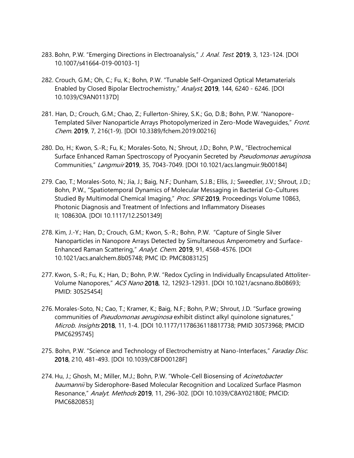- 283. Bohn, P.W. "Emerging Directions in Electroanalysis," J. Anal. Test. 2019, 3, 123-124. [DOI 10.1007/s41664-019-00103-1]
- 282. Crouch, G.M.; Oh, C.; Fu, K.; Bohn, P.W. "Tunable Self-Organized Optical Metamaterials Enabled by Closed Bipolar Electrochemistry," Analyst, 2019, 144, 6240 - 6246. [DOI 10.1039/C9AN01137D]
- 281. Han, D.; Crouch, G.M.; Chao, Z.; Fullerton-Shirey, S.K.; Go, D.B.; Bohn, P.W. "Nanopore-Templated Silver Nanoparticle Arrays Photopolymerized in Zero-Mode Wavequides," Front. Chem. 2019, 7, 216(1-9). [DOI 10.3389/fchem.2019.00216]
- 280. Do, H.; Kwon, S.-R.; Fu, K.; Morales-Soto, N.; Shrout, J.D.; Bohn, P.W., "Electrochemical Surface Enhanced Raman Spectroscopy of Pyocyanin Secreted by Pseudomonas aeruginosa Communities," Langmuir 2019, 35, 7043-7049. [DOI 10.1021/acs.langmuir.9b00184]
- 279. Cao, T.; Morales-Soto, N.; Jia, J.; Baig, N.F.; Dunham, S.J.B.; Ellis, J.; Sweedler, J.V.; Shrout, J.D.; Bohn, P.W., "Spatiotemporal Dynamics of Molecular Messaging in Bacterial Co-Cultures Studied By Multimodal Chemical Imaging," Proc. SPIE 2019, Proceedings Volume 10863, Photonic Diagnosis and Treatment of Infections and Inflammatory Diseases II; 108630A. [DOI 10.1117/12.2501349]
- 278. Kim, J.-Y.; Han, D.; Crouch, G.M.; Kwon, S.-R.; Bohn, P.W. "Capture of Single Silver Nanoparticles in Nanopore Arrays Detected by Simultaneous Amperometry and Surface-Enhanced Raman Scattering," Analyt. Chem. 2019, 91, 4568-4576. [DOI 10.1021/acs.analchem.8b05748; PMC ID: PMC8083125]
- 277. Kwon, S.-R.; Fu, K.; Han, D.; Bohn, P.W. "Redox Cycling in Individually Encapsulated Attoliter-Volume Nanopores," ACS Nano 2018, 12, 12923-12931. [DOI 10.1021/acsnano.8b08693; PMID: 30525454]
- 276. Morales-Soto, N.; Cao, T.; Kramer, K.; Baig, N.F.; Bohn, P.W.; Shrout, J.D. "Surface growing communities of Pseudomonas aeruginosa exhibit distinct alkyl quinolone signatures," Microb. Insights 2018, 11, 1-4. [DOI 10.1177/1178636118817738; PMID 30573968; PMCID PMC6295745]
- 275. Bohn, P.W. "Science and Technology of Electrochemistry at Nano-Interfaces," Faraday Disc. 2018, 210, 481-493. [DOI 10.1039/C8FD00128F]
- 274. Hu, J.; Ghosh, M.; Miller, M.J.; Bohn, P.W. "Whole-Cell Biosensing of Acinetobacter baumannii by Siderophore-Based Molecular Recognition and Localized Surface Plasmon Resonance," Analyt. Methods 2019, 11, 296-302. [DOI 10.1039/C8AY02180E; PMCID: PMC6820853]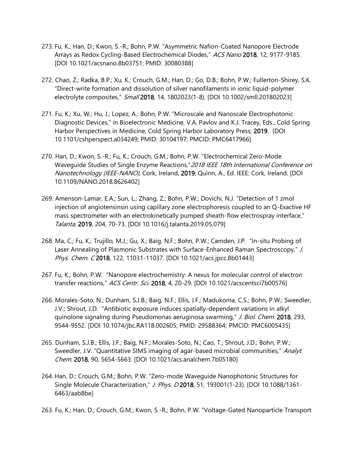- 273. Fu, K.; Han, D.; Kwon, S.-R.; Bohn, P.W. "Asymmetric Nafion-Coated Nanopore Electrode Arrays as Redox Cycling-Based Electrochemical Diodes," ACS Nano 2018, 12, 9177-9185. [DOI 10.1021/acsnano.8b03751; PMID: 30080388]
- 272. Chao, Z.; Radka, B.P.; Xu, K.; Crouch, G.M.; Han, D.; Go, D.B.; Bohn, P.W.; Fullerton-Shirey, S.K. "Direct-write formation and dissolution of silver nanofilaments in ionic liquid-polymer electrolyte composites," Small 2018, 14, 1802023(1-8). [DOI 10.1002/smll.201802023]
- 271. Fu, K.; Xu, W.; Hu, J.; Lopez, A.; Bohn, P.W. "Microscale and Nanoscale Electrophotonic Diagnostic Devices," in Bioelectronic Medicine, V.A. Pavlov and K.J. Tracey, Eds., Cold Spring Harbor Perspectives in Medicine, Cold Spring Harbor Laboratory Press; 2019. [DOI 10.1101/cshperspect.a034249; PMID: 30104197; PMCID: PMC6417966]
- 270. Han, D.; Kwon, S.-R.; Fu, K.; Crouch, G.M.; Bohn, P.W. "Electrochemical Zero-Mode Waveguide Studies of Single Enzyme Reactions," 2018 IEEE 18th International Conference on Nanotechnology (IEEE-NANO), Cork, Ireland, 2019; Quinn, A., Ed. IEEE: Cork, Ireland. [DOI 10.1109/NANO.2018.8626402]
- 269. Amenson-Lamar, E.A.; Sun, L.; Zhang, Z.; Bohn, P.W.; Dovichi, N.J. "Detection of 1 zmol injection of angiotensinsin using capillary zone electrophoresis coupled to an Q-Exactive HF mass spectrometer with an electrokinetically pumped sheath-flow electrospray interface," Talanta, 2019, 204, 70-73. [DOI 10.1016/j.talanta.2019.05.079]
- 268. Ma, C.; Fu, K.; Trujillo, M.J.; Gu, X.; Baig, N.F.; Bohn, P.W.; Camden, J.P. "In-situ Probing of Laser Annealing of Plasmonic Substrates with Surface-Enhanced Raman Spectroscopy," J. Phys. Chem. C 2018, 122, 11031-11037. [DOI 10.1021/acs.jpcc.8b01443]
- 267. Fu, K.; Bohn, P.W. "Nanopore electrochemistry: A nexus for molecular control of electron transfer reactions," ACS Centr. Sci. 2018, 4, 20-29. [DOI 10.1021/acscentsci7b00576]
- 266. Morales-Soto, N.; Dunham, S.J.B.; Baig, N.F.; Ellis, J.F.; Madukoma, C.S.; Bohn, P.W.; Sweedler, J.V.; Shrout, J.D. "Antibiotic exposure induces spatially-dependent variations in alkyl quinolone signaling during Pseudomonas aeruginosa swarming," J. Biol. Chem. 2018, 293, 9544-9552. [DOI 10.1074/jbc.RA118.002605; PMID: 29588364; PMCID: PMC6005435]
- 265. Dunham, S.J.B.; Ellis, J.F.; Baig, N.F.; Morales-Soto, N.; Cao, T.; Shrout, J.D.; Bohn, P.W.; Sweedler, J.V. "Quantitative SIMS imaging of agar-based microbial communities," Analyt. Chem. 2018, 90, 5654-5663. [DOI 10.1021/acs.analchem.7b05180]
- 264. Han, D.; Crouch, G.M.; Bohn, P.W. "Zero-mode Waveguide Nanophotonic Structures for Single Molecule Characterization," J. Phys. D 2018, 51, 193001(1-23). [DOI 10.1088/1361-6463/aab8be]
- 263. Fu, K.; Han, D.; Crouch, G.M.; Kwon, S.-R.; Bohn, P.W. "Voltage-Gated Nanoparticle Transport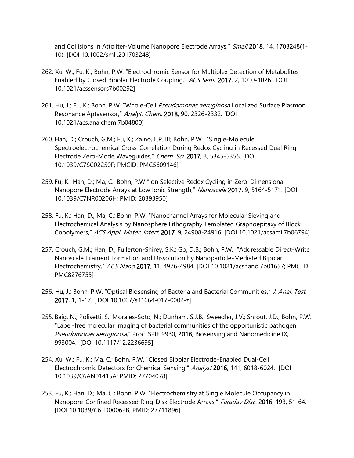and Collisions in Attoliter-Volume Nanopore Electrode Arrays," Small 2018, 14, 1703248(1-10). [DOI 10.1002/smll.201703248]

- 262. Xu, W.; Fu, K.; Bohn, P.W. "Electrochromic Sensor for Multiplex Detection of Metabolites Enabled by Closed Bipolar Electrode Coupling," ACS Sens. 2017, 2, 1010-1026. [DOI 10.1021/acssensors7b00292]
- 261. Hu, J.; Fu, K.; Bohn, P.W. "Whole-Cell Pseudomonas aeruginosa Localized Surface Plasmon Resonance Aptasensor," Analyt. Chem. 2018, 90, 2326-2332. [DOI 10.1021/acs.analchem.7b04800]
- 260. Han, D.; Crouch, G.M.; Fu, K.; Zaino, L.P. III; Bohn, P.W. "Single-Molecule Spectroelectrochemical Cross-Correlation During Redox Cycling in Recessed Dual Ring Electrode Zero-Mode Wavequides," Chem. Sci. 2017, 8, 5345-5355. [DOI 10.1039/C7SC02250F; PMCID: PMC5609146]
- 259. Fu, K.; Han, D.; Ma, C.; Bohn, P.W "Ion Selective Redox Cycling in Zero-Dimensional Nanopore Electrode Arrays at Low Ionic Strength," Nanoscale 2017, 9, 5164-5171. [DOI 10.1039/C7NR00206H; PMID: 28393950]
- 258. Fu, K.; Han, D.; Ma, C.; Bohn, P.W. "Nanochannel Arrays for Molecular Sieving and Electrochemical Analysis by Nanosphere Lithography Templated Graphoepitaxy of Block Copolymers," ACS Appl. Mater. Interf. 2017, 9, 24908-24916. [DOI 10.1021/acsami.7b06794]
- 257. Crouch, G.M.; Han, D.; Fullerton-Shirey, S.K.; Go, D.B.; Bohn, P.W. "Addressable Direct-Write Nanoscale Filament Formation and Dissolution by Nanoparticle-Mediated Bipolar Electrochemistry," ACS Nano 2017, 11, 4976-4984. [DOI 10.1021/acsnano.7b01657; PMC ID: PMC8276755]
- 256. Hu, J.; Bohn, P.W. "Optical Biosensing of Bacteria and Bacterial Communities," J. Anal. Test. 2017, 1, 1-17. [ DOI 10.1007/s41664-017-0002-z]
- 255. Baig, N.; Polisetti, S.; Morales-Soto, N.; Dunham, S.J.B.; Sweedler, J.V.; Shrout, J.D.; Bohn, P.W. "Label-free molecular imaging of bacterial communities of the opportunistic pathogen Pseudomonas aeruginosa," Proc. SPIE 9930, 2016, Biosensing and Nanomedicine IX, 993004. [DOI 10.1117/12.2236695]
- 254. Xu, W.; Fu, K.; Ma, C.; Bohn, P.W. "Closed Bipolar Electrode-Enabled Dual-Cell Electrochromic Detectors for Chemical Sensing," Analyst 2016, 141, 6018-6024. [DOI 10.1039/C6AN01415A; PMID: 27704078]
- 253. Fu, K.; Han, D.; Ma, C.; Bohn, P.W. "Electrochemistry at Single Molecule Occupancy in Nanopore-Confined Recessed Ring-Disk Electrode Arrays," Faraday Disc. 2016, 193, 51-64. [DOI 10.1039/C6FD00062B; PMID: 27711896]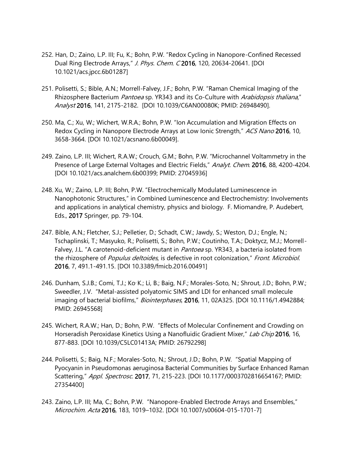- 252. Han, D.; Zaino, L.P. III; Fu, K.; Bohn, P.W. "Redox Cycling in Nanopore-Confined Recessed Dual Ring Electrode Arrays," J. Phys. Chem. C 2016, 120, 20634-20641. [DOI 10.1021/acs.jpcc.6b01287]
- 251. Polisetti, S.; Bible, A.N.; Morrell-Falvey, J.F.; Bohn, P.W. "Raman Chemical Imaging of the Rhizosphere Bacterium *Pantoea* sp. YR343 and its Co-Culture with *Arabidopsis thaliana*," Analyst 2016, 141, 2175-2182. [DOI 10.1039/C6AN00080K; PMID: 26948490].
- 250. Ma, C.; Xu, W.; Wichert, W.R.A.; Bohn, P.W. "Ion Accumulation and Migration Effects on Redox Cycling in Nanopore Electrode Arrays at Low Ionic Strength," ACS Nano 2016, 10, 3658-3664. [DOI 10.1021/acsnano.6b00049].
- 249. Zaino, L.P. III; Wichert, R.A.W.; Crouch, G.M.; Bohn, P.W. "Microchannel Voltammetry in the Presence of Large External Voltages and Electric Fields," Analyt. Chem. 2016, 88, 4200-4204. [DOI 10.1021/acs.analchem.6b00399; PMID: 27045936]
- 248. Xu, W.; Zaino, L.P. III; Bohn, P.W. "Electrochemically Modulated Luminescence in Nanophotonic Structures," in Combined Luminescence and Electrochemistry: Involvements and applications in analytical chemistry, physics and biology. F. Miomandre, P. Audebert, Eds., 2017 Springer, pp. 79-104.
- 247. Bible, A.N.; Fletcher, S.J.; Pelletier, D.; Schadt, C.W.; Jawdy, S.; Weston, D.J.; Engle, N.; Tschaplinski, T.; Masyuko, R.; Polisetti, S.; Bohn, P.W.; Coutinho, T.A.; Doktycz, M.J.; Morrell-Falvey, J.L. "A carotenoid-deficient mutant in *Pantoea* sp. YR343, a bacteria isolated from the rhizosphere of Populus deltoides, is defective in root colonization," Front. Microbiol. 2016, 7, 491.1-491.15. [DOI 10.3389/fmicb.2016.00491]
- 246. Dunham, S.J.B.; Comi, T.J.; Ko, K.; Li, B.; Baig, N.F.; Morales-Soto, N.; Shrout, J.D.; Bohn, P.W.; Sweedler, J.V. "Metal-assisted polyatomic SIMS and LDI for enhanced small molecule imaging of bacterial biofilms," Biointerphases, 2016, 11, 02A325. [DOI 10.1116/1.4942884; PMID: 26945568]
- 245. Wichert, R.A.W.; Han, D.; Bohn, P.W. "Effects of Molecular Confinement and Crowding on Horseradish Peroxidase Kinetics Using a Nanofluidic Gradient Mixer," Lab Chip 2016, 16, 877-883. [DOI 10.1039/C5LC01413A; PMID: 26792298]
- 244. Polisetti, S.; Baig, N.F.; Morales-Soto, N.; Shrout, J.D.; Bohn, P.W. "Spatial Mapping of Pyocyanin in Pseudomonas aeruginosa Bacterial Communities by Surface Enhanced Raman Scattering," Appl. Spectrosc. 2017, 71, 215-223. [DOI 10.1177/0003702816654167; PMID: 27354400]
- 243. Zaino, L.P. III; Ma, C.; Bohn, P.W. "Nanopore-Enabled Electrode Arrays and Ensembles," Microchim. Acta 2016, 183, 1019–1032. [DOI 10.1007/s00604-015-1701-7]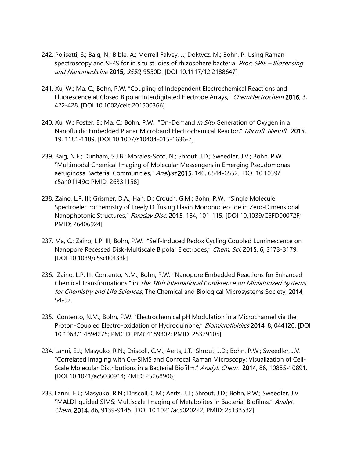- 242. Polisetti, S.; Baig, N.; Bible, A.; Morrell Falvey, J.; Doktycz, M.; Bohn, P. Using Raman spectroscopy and SERS for in situ studies of rhizosphere bacteria. Proc. SPIE – Biosensing and Nanomedicine 2015, 9550, 9550D. [DOI 10.1117/12.2188647]
- 241. Xu, W.; Ma, C.; Bohn, P.W. "Coupling of Independent Electrochemical Reactions and Fluorescence at Closed Bipolar Interdigitated Electrode Arrays," ChemElectrochem 2016, 3, 422-428. [DOI 10.1002/celc.201500366]
- 240. Xu, W.; Foster, E.; Ma, C.; Bohn, P.W. "On-Demand In Situ Generation of Oxygen in a Nanofluidic Embedded Planar Microband Electrochemical Reactor," Microfl. Nanofl. 2015. 19, 1181-1189. [DOI 10.1007/s10404-015-1636-7]
- 239. Baig, N.F.; Dunham, S.J.B.; Morales-Soto, N.; Shrout, J.D.; Sweedler, J.V.; Bohn, P.W. "Multimodal Chemical Imaging of Molecular Messengers in Emerging Pseudomonas aeruginosa Bacterial Communities," Analyst 2015, 140, 6544-6552. [DOI 10.1039/ c5an01149c; PMID: 26331158]
- 238. Zaino, L.P. III; Grismer, D.A.; Han, D.; Crouch, G.M.; Bohn, P.W. "Single Molecule Spectroelectrochemistry of Freely Diffusing Flavin Mononucleotide in Zero-Dimensional Nanophotonic Structures," Faraday Disc. 2015, 184, 101-115. [DOI 10.1039/C5FD00072F; PMID: 26406924]
- 237. Ma, C.; Zaino, L.P. III; Bohn, P.W. "Self-Induced Redox Cycling Coupled Luminescence on Nanopore Recessed Disk-Multiscale Bipolar Electrodes," Chem. Sci. 2015, 6, 3173-3179. [DOI 10.1039/c5sc00433k]
- 236. Zaino, L.P. III; Contento, N.M.; Bohn, P.W. "Nanopore Embedded Reactions for Enhanced Chemical Transformations," in The 18th International Conference on Miniaturized Systems for Chemistry and Life Sciences, The Chemical and Biological Microsystems Society, 2014, 54-57.
- 235. Contento, N.M.; Bohn, P.W. "Electrochemical pH Modulation in a Microchannel via the Proton-Coupled Electro-oxidation of Hydroquinone," Biomicrofluidics 2014, 8, 044120. [DOI 10.1063/1.4894275; PMCID: PMC4189302; PMID: 25379105]
- 234. Lanni, E.J.; Masyuko, R.N.; Driscoll, C.M.; Aerts, J.T.; Shrout, J.D.; Bohn, P.W.; Sweedler, J.V. "Correlated Imaging with  $C_{60}$ -SIMS and Confocal Raman Microscopy: Visualization of Cell-Scale Molecular Distributions in a Bacterial Biofilm," Analyt. Chem. 2014, 86, 10885-10891. [DOI 10.1021/ac5030914; PMID: 25268906]
- 233. Lanni, E.J.; Masyuko, R.N.; Driscoll, C.M.; Aerts, J.T.; Shrout, J.D.; Bohn, P.W.; Sweedler, J.V. "MALDI-guided SIMS: Multiscale Imaging of Metabolites in Bacterial Biofilms," Analyt. Chem. 2014, 86, 9139-9145. [DOI 10.1021/ac5020222; PMID: 25133532]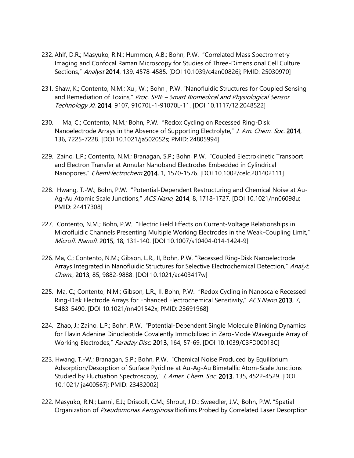- 232. Ahlf, D.R.; Masyuko, R.N.; Hummon, A.B.; Bohn, P.W. "Correlated Mass Spectrometry Imaging and Confocal Raman Microscopy for Studies of Three-Dimensional Cell Culture Sections," Analyst 2014, 139, 4578-4585. [DOI 10.1039/c4an00826j; PMID: 25030970]
- 231. Shaw, K.; Contento, N.M.; Xu , W. ; Bohn , P.W. "Nanofluidic Structures for Coupled Sensing and Remediation of Toxins," Proc. SPIE – Smart Biomedical and Physiological Sensor Technology XI, 2014, 9107, 91070L-1-91070L-11. [DOI 10.1117/12.2048522]
- 230. Ma, C.; Contento, N.M.; Bohn, P.W. "Redox Cycling on Recessed Ring-Disk Nanoelectrode Arrays in the Absence of Supporting Electrolyte," J. Am. Chem. Soc. 2014, 136, 7225-7228. [DOI 10.1021/ja502052s; PMID: 24805994]
- 229. Zaino, L.P.; Contento, N.M.; Branagan, S.P.; Bohn, P.W. "Coupled Electrokinetic Transport and Electron Transfer at Annular Nanoband Electrodes Embedded in Cylindrical Nanopores," ChemElectrochem 2014, 1, 1570-1576. [DOI 10.1002/celc.201402111]
- 228. Hwang, T.-W.; Bohn, P.W. "Potential-Dependent Restructuring and Chemical Noise at Au-Ag-Au Atomic Scale Junctions," ACS Nano, 2014, 8, 1718-1727. [DOI 10.1021/nn06098u; PMID: 24417308]
- 227. Contento, N.M.; Bohn, P.W. "Electric Field Effects on Current-Voltage Relationships in Microfluidic Channels Presenting Multiple Working Electrodes in the Weak-Coupling Limit," Microfl. Nanofl. 2015, 18, 131-140. [DOI 10.1007/s10404-014-1424-9]
- 226. Ma, C.; Contento, N.M.; Gibson, L.R., II, Bohn, P.W. "Recessed Ring-Disk Nanoelectrode Arrays Integrated in Nanofluidic Structures for Selective Electrochemical Detection," Analyt. Chem., 2013, 85, 9882-9888. [DOI 10.1021/ac403417w]
- 225. Ma, C.; Contento, N.M.; Gibson, L.R., II, Bohn, P.W. "Redox Cycling in Nanoscale Recessed Ring-Disk Electrode Arrays for Enhanced Electrochemical Sensitivity," ACS Nano 2013, 7, 5483-5490. [DOI 10.1021/nn401542x; PMID: 23691968]
- 224. Zhao, J.; Zaino, L.P.; Bohn, P.W. "Potential-Dependent Single Molecule Blinking Dynamics for Flavin Adenine Dinucleotide Covalently Immobilized in Zero-Mode Waveguide Array of Working Electrodes," Faraday Disc. 2013, 164, 57-69. [DOI 10.1039/C3FD00013C]
- 223. Hwang, T.-W.; Branagan, S.P.; Bohn, P.W. "Chemical Noise Produced by Equilibrium Adsorption/Desorption of Surface Pyridine at Au-Ag-Au Bimetallic Atom-Scale Junctions Studied by Fluctuation Spectroscopy," J. Amer. Chem. Soc. 2013, 135, 4522-4529. [DOI 10.1021/ ja400567j; PMID: 23432002]
- 222. Masyuko, R.N.; Lanni, E.J.; Driscoll, C.M.; Shrout, J.D.; Sweedler, J.V.; Bohn, P.W. "Spatial Organization of Pseudomonas Aeruginosa Biofilms Probed by Correlated Laser Desorption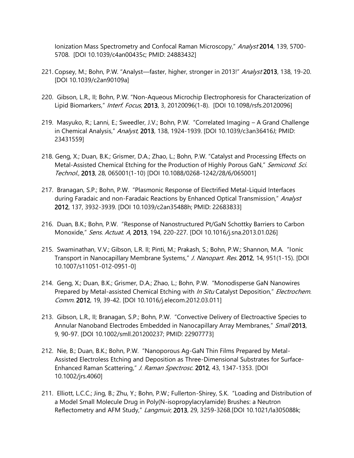Ionization Mass Spectrometry and Confocal Raman Microscopy," Analyst 2014, 139, 5700-5708. [DOI 10.1039/c4an00435c; PMID: 24883432]

- 221. Copsey, M.; Bohn, P.W. "Analyst—faster, higher, stronger in 2013!" Analyst 2013, 138, 19-20. [DOI 10.1039/c2an90109a]
- 220. Gibson, L.R., II; Bohn, P.W. "Non-Aqueous Microchip Electrophoresis for Characterization of Lipid Biomarkers," Interf. Focus, 2013, 3, 20120096(1-8). [DOI 10.1098/rsfs.20120096]
- 219. Masyuko, R.; Lanni, E.; Sweedler, J.V.; Bohn, P.W. "Correlated Imaging A Grand Challenge in Chemical Analysis," Analyst, 2013, 138, 1924-1939. [DOI 10.1039/c3an36416J; PMID: 23431559]
- 218. Geng, X.; Duan, B.K.; Grismer, D.A.; Zhao, L.; Bohn, P.W. "Catalyst and Processing Effects on Metal-Assisted Chemical Etching for the Production of Highly Porous GaN," Semicond. Sci. Technol., 2013, 28, 065001(1-10) [DOI 10.1088/0268-1242/28/6/065001]
- 217. Branagan, S.P.; Bohn, P.W. "Plasmonic Response of Electrified Metal-Liquid Interfaces during Faradaic and non-Faradaic Reactions by Enhanced Optical Transmission," Analyst 2012, 137, 3932-3939. [DOI 10.1039/c2an35488h; PMID: 22683833]
- 216. Duan, B.K.; Bohn, P.W. "Response of Nanostructured Pt/GaN Schottky Barriers to Carbon Monoxide," Sens. Actuat. A, 2013, 194, 220-227. [DOI 10.1016/j.sna.2013.01.026]
- 215. Swaminathan, V.V.; Gibson, L.R. II; Pinti, M.; Prakash, S.; Bohn, P.W.; Shannon, M.A. "Ionic Transport in Nanocapillary Membrane Systems," J. Nanopart. Res. 2012, 14, 951(1-15). [DOI 10.1007/s11051-012-0951-0]
- 214. Geng, X.; Duan, B.K.; Grismer, D.A.; Zhao, L.; Bohn, P.W. "Monodisperse GaN Nanowires Prepared by Metal-assisted Chemical Etching with *In Situ* Catalyst Deposition," *Electrochem.* Comm. 2012, 19, 39-42. [DOI 10.1016/j.elecom.2012.03.011]
- 213. Gibson, L.R., II; Branagan, S.P.; Bohn, P.W. "Convective Delivery of Electroactive Species to Annular Nanoband Electrodes Embedded in Nanocapillary Array Membranes," Small 2013, 9, 90-97. [DOI 10.1002/smll.201200237; PMID: 22907773]
- 212. Nie, B.; Duan, B.K.; Bohn, P.W. "Nanoporous Ag-GaN Thin Films Prepared by Metal-Assisted Electroless Etching and Deposition as Three-Dimensional Substrates for Surface-Enhanced Raman Scattering," J. Raman Spectrosc. 2012, 43, 1347-1353. [DOI 10.1002/jrs.4060]
- 211. Elliott, L.C.C.; Jing, B.; Zhu, Y.; Bohn, P.W.; Fullerton-Shirey, S.K. "Loading and Distribution of a Model Small Molecule Drug in Poly(N-isopropylacrylamide) Brushes: a Neutron Reflectometry and AFM Study," Langmuir, 2013, 29, 3259-3268.[DOI 10.1021/la305088k;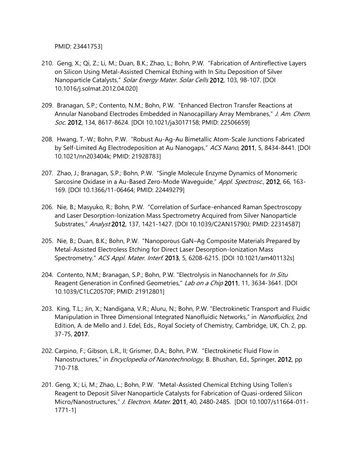PMID: 23441753]

- 210. Geng, X.; Qi, Z.; Li, M.; Duan, B.K.; Zhao, L.; Bohn, P.W. "Fabrication of Antireflective Layers on Silicon Using Metal-Assisted Chemical Etching with In Situ Deposition of Silver Nanoparticle Catalysts," Solar Energy Mater. Solar Cells 2012, 103, 98-107. [DOI 10.1016/j.solmat.2012.04.020]
- 209. Branagan, S.P.; Contento, N.M.; Bohn, P.W. "Enhanced Electron Transfer Reactions at Annular Nanoband Electrodes Embedded in Nanocapillary Array Membranes," J. Am. Chem. Soc. 2012, 134, 8617-8624. [DOI 10.1021/ja3017158; PMID: 22506659]
- 208. Hwang, T.-W.; Bohn, P.W. "Robust Au-Ag-Au Bimetallic Atom-Scale Junctions Fabricated by Self-Limited Ag Electrodeposition at Au Nanogaps," ACS Nano, 2011, 5, 8434-8441. [DOI 10.1021/nn203404k; PMID: 21928783]
- 207. Zhao, J.; Branagan, S.P.; Bohn, P.W. "Single Molecule Enzyme Dynamics of Monomeric Sarcosine Oxidase in a Au-Based Zero-Mode Wavequide," Appl. Spectrosc., 2012, 66, 163-169. [DOI 10.1366/11-06464; PMID: 22449279]
- 206. Nie, B.; Masyuko, R.; Bohn, P.W. "Correlation of Surface-enhanced Raman Spectroscopy and Laser Desorption-Ionization Mass Spectrometry Acquired from Silver Nanoparticle Substrates," Analyst 2012, 137, 1421-1427. [DOI 10.1039/C2AN15790J; PMID: 22314587]
- 205. Nie, B.; Duan, B.K.; Bohn, P.W. "Nanoporous GaN–Ag Composite Materials Prepared by Metal-Assisted Electroless Etching for Direct Laser Desorption-Ionization Mass Spectrometry," ACS Appl. Mater. Interf. 2013, 5, 6208-6215. [DOI 10.1021/am401132s]
- 204. Contento, N.M.; Branagan, S.P.; Bohn, P.W. "Electrolysis in Nanochannels for In Situ Reagent Generation in Confined Geometries," Lab on a Chip 2011, 11, 3634-3641. [DOI 10.1039/C1LC20570F; PMID: 21912801]
- 203. King, T.L.; Jin, X.; Nandigana, V.R.; Aluru, N.; Bohn, P.W. "Electrokinetic Transport and Fluidic Manipulation in Three Dimensional Integrated Nanofluidic Networks," in Nanofluidics, 2nd Edition, A. de Mello and J. Edel, Eds., Royal Society of Chemistry, Cambridge, UK, Ch. 2, pp. 37-75, 2017.
- 202. Carpino, F.; Gibson, L.R., II; Grismer, D.A.; Bohn, P.W. "Electrokinetic Fluid Flow in Nanostructures," in *Encyclopedia of Nanotechnology*, B. Bhushan, Ed., Springer, 2012, pp 710-718.
- 201. Geng, X.; Li, M.; Zhao, L.; Bohn, P.W. "Metal-Assisted Chemical Etching Using Tollen's Reagent to Deposit Silver Nanoparticle Catalysts for Fabrication of Quasi-ordered Silicon Micro/Nanostructures," J. Electron. Mater. 2011, 40, 2480-2485. [DOI 10.1007/s11664-011-1771-1]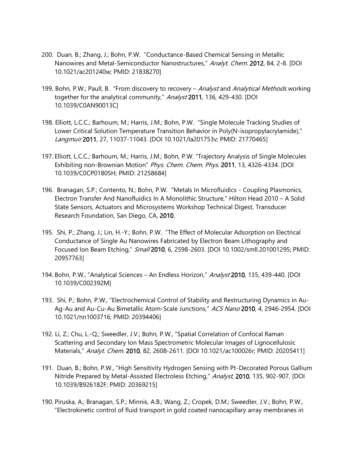- 200. Duan, B.; Zhang, J.; Bohn, P.W. "Conductance-Based Chemical Sensing in Metallic Nanowires and Metal-Semiconductor Nanostructures," Analyt. Chem. 2012, 84, 2-8. [DOI 10.1021/ac201240w; PMID: 21838270]
- 199. Bohn, P.W.; Paull, B. "From discovery to recovery Analyst and Analytical Methods working together for the analytical community," Analyst 2011, 136, 429-430. [DOI 10.1039/C0AN90013C]
- 198. Elliott, L.C.C.; Barhoum, M.; Harris, J.M.; Bohn, P.W. "Single Molecule Tracking Studies of Lower Critical Solution Temperature Transition Behavior in Poly(N-isopropylacrylamide)," Langmuir 2011, 27, 11037-11043. [DOI 10.1021/la201753v; PMID: 21770465]
- 197. Elliott, L.C.C.; Barhoum, M.; Harris, J.M.; Bohn, P.W. "Trajectory Analysis of Single Molecules Exhibiting non-Brownian Motion" Phys. Chem. Chem. Phys. 2011, 13, 4326-4334. [DOI 10.1039/C0CP01805H; PMID: 21258684]
- 196. Branagan, S.P.; Contento, N.; Bohn, P.W. "Metals In Microfluidics Coupling Plasmonics, Electron Transfer And Nanofluidics In A Monolithic Structure," Hilton Head 2010 – A Solid State Sensors, Actuators and Microsystems Workshop Technical Digest, Transducer Research Foundation, San Diego, CA, 2010.
- 195. Shi, P.; Zhang, J.; Lin, H.-Y.; Bohn, P.W. "The Effect of Molecular Adsorption on Electrical Conductance of Single Au Nanowires Fabricated by Electron Beam Lithography and Focused Ion Beam Etching," Small 2010, 6, 2598-2603. [DOI 10.1002/smll.201001295; PMID: 20957763]
- 194. Bohn, P.W., "Analytical Sciences An Endless Horizon," Analyst 2010, 135, 439-440. [DOI 10.1039/C002392M]
- 193. Shi, P.; Bohn, P.W., "Electrochemical Control of Stability and Restructuring Dynamics in Au-Ag-Au and Au-Cu-Au Bimetallic Atom-Scale Junctions," ACS Nano 2010, 4, 2946-2954. [DOI 10.1021/nn1003716; PMID: 20394406]
- 192. Li, Z.; Chu, L.-Q.; Sweedler, J.V.; Bohn, P.W., "Spatial Correlation of Confocal Raman Scattering and Secondary Ion Mass Spectrometric Molecular Images of Lignocellulosic Materials," Analyt. Chem. 2010, 82, 2608-2611. [DOI 10.1021/ac100026r; PMID: 20205411]
- 191. Duan, B.; Bohn, P.W., "High Sensitivity Hydrogen Sensing with Pt-Decorated Porous Gallium Nitride Prepared by Metal-Assisted Electroless Etching," Analyst, 2010, 135, 902-907. [DOI 10.1039/B926182F; PMID: 20369215]
- 190. Piruska, A.; Branagan, S.P.; Minnis, A.B.; Wang, Z.; Cropek, D.M.; Sweedler, J.V.; Bohn, P.W., "Electrokinetic control of fluid transport in gold coated nanocapillary array membranes in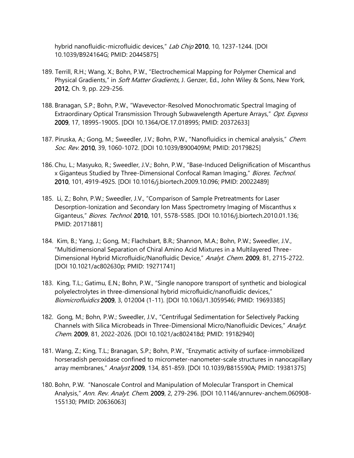hybrid nanofluidic-microfluidic devices," Lab Chip 2010, 10, 1237-1244. [DOI 10.1039/B924164G; PMID: 20445875]

- 189. Terrill, R.H.; Wang, X.; Bohn, P.W., "Electrochemical Mapping for Polymer Chemical and Physical Gradients," in *Soft Matter Gradients*, J. Genzer, Ed., John Wiley & Sons, New York, 2012, Ch. 9, pp. 229-256.
- 188. Branagan, S.P.; Bohn, P.W., "Wavevector-Resolved Monochromatic Spectral Imaging of Extraordinary Optical Transmission Through Subwavelength Aperture Arrays," Opt. Express 2009, 17, 18995-19005. [DOI 10.1364/OE.17.018995; PMID: 20372633]
- 187. Piruska, A.; Gong, M.; Sweedler, J.V.; Bohn, P.W., "Nanofluidics in chemical analysis," Chem. Soc. Rev. 2010, 39, 1060-1072. [DOI 10.1039/B900409M; PMID: 20179825]
- 186. Chu, L.; Masyuko, R.; Sweedler, J.V.; Bohn, P.W., "Base-Induced Delignification of Miscanthus x Giganteus Studied by Three-Dimensional Confocal Raman Imaging," Biores. Technol. 2010, 101, 4919-4925. [DOI 10.1016/j.biortech.2009.10.096; PMID: 20022489]
- 185. Li, Z.; Bohn, P.W.; Sweedler, J.V., "Comparison of Sample Pretreatments for Laser Desorption-Ionization and Secondary Ion Mass Spectrometry Imaging of Miscanthus x Giganteus," Biores. Technol. 2010, 101, 5578-5585. [DOI 10.1016/j.biortech.2010.01.136; PMID: 20171881]
- 184. Kim, B.; Yang, J.; Gong, M.; Flachsbart, B.R.; Shannon, M.A.; Bohn, P.W.; Sweedler, J.V., "Multidimensional Separation of Chiral Amino Acid Mixtures in a Multilayered Three-Dimensional Hybrid Microfluidic/Nanofluidic Device," Analyt. Chem. 2009, 81, 2715-2722. [DOI 10.1021/ac802630p; PMID: 19271741]
- 183. King, T.L.; Gatimu, E.N.; Bohn, P.W., "Single nanopore transport of synthetic and biological polyelectrolytes in three-dimensional hybrid microfluidic/nanofluidic devices," Biomicrofluidics 2009, 3, 012004 (1-11). [DOI 10.1063/1.3059546; PMID: 19693385]
- 182. Gong, M.; Bohn, P.W.; Sweedler, J.V., "Centrifugal Sedimentation for Selectively Packing Channels with Silica Microbeads in Three-Dimensional Micro/Nanofluidic Devices," Analyt. Chem. 2009, 81, 2022-2026. [DOI 10.1021/ac802418d; PMID: 19182940]
- 181. Wang, Z.; King, T.L.; Branagan, S.P.; Bohn, P.W., "Enzymatic activity of surface-immobilized horseradish peroxidase confined to micrometer-nanometer-scale structures in nanocapillary array membranes," Analyst 2009, 134, 851-859. [DOI 10.1039/B815590A; PMID: 19381375]
- 180. Bohn, P.W. "Nanoscale Control and Manipulation of Molecular Transport in Chemical Analysis," Ann. Rev. Analyt. Chem. 2009, 2, 279-296. [DOI 10.1146/annurev-anchem.060908- 155130; PMID: 20636063]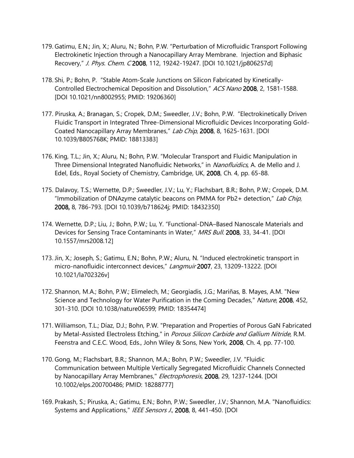- 179. Gatimu, E.N.; Jin, X.; Aluru, N.; Bohn, P.W. "Perturbation of Microfluidic Transport Following Electrokinetic Injection through a Nanocapillary Array Membrane. Injection and Biphasic Recovery," J. Phys. Chem. C2008, 112, 19242-19247. [DOI 10.1021/jp806257d]
- 178. Shi, P.; Bohn, P. "Stable Atom-Scale Junctions on Silicon Fabricated by Kinetically-Controlled Electrochemical Deposition and Dissolution," ACS Nano 2008, 2, 1581-1588. [DOI 10.1021/nn8002955; PMID: 19206360]
- 177. Piruska, A.; Branagan, S.; Cropek, D.M.; Sweedler, J.V.; Bohn, P.W. "Electrokinetically Driven Fluidic Transport in Integrated Three-Dimensional Microfluidic Devices Incorporating Gold-Coated Nanocapillary Array Membranes," Lab Chip, 2008, 8, 1625-1631. [DOI 10.1039/B805768K; PMID: 18813383]
- 176. King, T.L.; Jin, X.; Aluru, N.; Bohn, P.W. "Molecular Transport and Fluidic Manipulation in Three Dimensional Integrated Nanofluidic Networks," in Nanofluidics, A. de Mello and J. Edel, Eds., Royal Society of Chemistry, Cambridge, UK, 2008, Ch. 4, pp. 65-88.
- 175. Dalavoy, T.S.; Wernette, D.P.; Sweedler, J.V.; Lu, Y.; Flachsbart, B.R.; Bohn, P.W.; Cropek, D.M. "Immobilization of DNAzyme catalytic beacons on PMMA for Pb2+ detection," Lab Chip, 2008, 8, 786-793. [DOI 10.1039/b718624j; PMID: 18432350]
- 174. Wernette, D.P.; Liu, J.; Bohn, P.W.; Lu, Y. "Functional-DNA–Based Nanoscale Materials and Devices for Sensing Trace Contaminants in Water," MRS Bull. 2008, 33, 34-41. [DOI 10.1557/mrs2008.12]
- 173. Jin, X.; Joseph, S.; Gatimu, E.N.; Bohn, P.W.; Aluru, N. "Induced electrokinetic transport in micro-nanofluidic interconnect devices," Langmuir 2007, 23, 13209-13222. [DOI 10.1021/la702326v]
- 172. Shannon, M.A.; Bohn, P.W.; Elimelech, M.; Georgiadis, J.G.; Mariñas, B. Mayes, A.M. "New Science and Technology for Water Purification in the Coming Decades," Nature, 2008, 452, 301-310. [DOI 10.1038/nature06599; PMID: 18354474]
- 171. Williamson, T.L.; Díaz, D.J.; Bohn, P.W. "Preparation and Properties of Porous GaN Fabricated by Metal-Assisted Electroless Etching," in Porous Silicon Carbide and Gallium Nitride, R.M. Feenstra and C.E.C. Wood, Eds., John Wiley & Sons, New York, 2008, Ch. 4, pp. 77-100.
- 170. Gong, M.; Flachsbart, B.R.; Shannon, M.A.; Bohn, P.W.; Sweedler, J.V. "Fluidic Communication between Multiple Vertically Segregated Microfluidic Channels Connected by Nanocapillary Array Membranes," *Electrophoresis*, 2008, 29, 1237-1244. [DOI 10.1002/elps.200700486; PMID: 18288777]
- 169. Prakash, S.; Piruska, A.; Gatimu, E.N.; Bohn, P.W.; Sweedler, J.V.; Shannon, M.A. "Nanofluidics: Systems and Applications," IEEE Sensors J., 2008, 8, 441-450. [DOI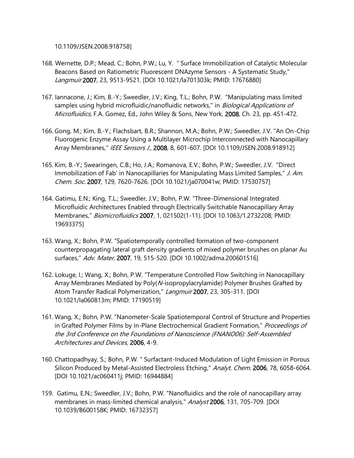10.1109/JSEN.2008.918758]

- 168. Wernette, D.P.; Mead, C.; Bohn, P.W.; Lu, Y. " Surface Immobilization of Catalytic Molecular Beacons Based on Ratiometric Fluorescent DNAzyme Sensors - A Systematic Study," Langmuir 2007, 23, 9513-9521. [DOI 10.1021/la701303k; PMID: 17676880]
- 167. Iannacone, J.; Kim, B.-Y.; Sweedler, J.V.; King, T.L.; Bohn, P.W. "Manipulating mass limited samples using hybrid microfluidic/nanofluidic networks," in *Biological Applications of* Microfluidics, F.A. Gomez, Ed., John Wiley & Sons, New York, 2008, Ch. 23, pp. 451-472.
- 166. Gong, M.; Kim, B.-Y.; Flachsbart, B.R.; Shannon, M.A.; Bohn, P.W.; Sweedler, J.V. "An On-Chip Fluorogenic Enzyme Assay Using a Multilayer Microchip Interconnected with Nanocapillary Array Membranes," IEEE Sensors J., 2008, 8, 601-607. [DOI 10.1109/JSEN.2008.918912]
- 165. Kim, B.-Y.; Swearingen, C.B.; Ho, J.A.; Romanova, E.V.; Bohn, P.W.; Sweedler, J.V. "Direct Immobilization of Fab' in Nanocapillaries for Manipulating Mass Limited Samples," J. Am. Chem. Soc. 2007, 129, 7620-7626. [DOI 10.1021/ja070041w; PMID: 17530757]
- 164. Gatimu, E.N.; King, T.L.; Sweedler, J.V.; Bohn, P.W. "Three-Dimensional Integrated Microfluidic Architectures Enabled through Electrically Switchable Nanocapillary Array Membranes," Biomicrofluidics 2007, 1, 021502(1-11). [DOI 10.1063/1.2732208; PMID: 19693375]
- 163. Wang, X.; Bohn, P.W. "Spatiotemporally controlled formation of two-component counterpropagating lateral graft density gradients of mixed polymer brushes on planar Au surfaces," Adv. Mater. 2007, 19, 515-520. [DOI 10.1002/adma.200601516]
- 162. Lokuge, I.; Wang, X.; Bohn, P.W. "Temperature Controlled Flow Switching in Nanocapillary Array Membranes Mediated by Poly(N-isopropylacrylamide) Polymer Brushes Grafted by Atom Transfer Radical Polymerization," Langmuir 2007, 23, 305-311. [DOI 10.1021/la060813m; PMID: 17190519]
- 161. Wang, X.; Bohn, P.W. "Nanometer-Scale Spatiotemporal Control of Structure and Properties in Grafted Polymer Films by In-Plane Electrochemical Gradient Formation," Proceedings of the 3rd Conference on the Foundations of Nanoscience (FNANO06): Self-Assembled Architectures and Devices, 2006, 4-9.
- 160. Chattopadhyay, S.; Bohn, P.W. " Surfactant-Induced Modulation of Light Emission in Porous Silicon Produced by Metal-Assisted Electroless Etching," Analyt. Chem. 2006, 78, 6058-6064. [DOI 10.1021/ac060411j; PMID: 16944884]
- 159. Gatimu, E.N.; Sweedler, J.V.; Bohn, P.W. "Nanofluidics and the role of nanocapillary array membranes in mass-limited chemical analysis," Analyst 2006, 131, 705-709. [DOI 10.1039/B600158K; PMID: 16732357]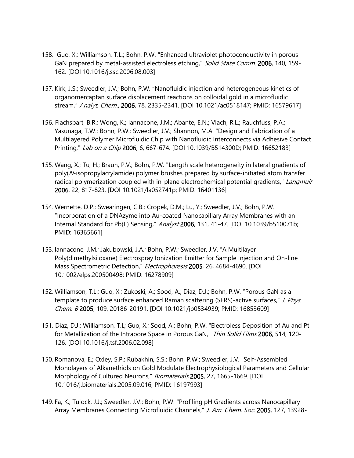- 158. Guo, X.; Williamson, T.L.; Bohn, P.W. "Enhanced ultraviolet photoconductivity in porous GaN prepared by metal-assisted electroless etching," Solid State Comm. 2006, 140, 159-162. [DOI 10.1016/j.ssc.2006.08.003]
- 157. Kirk, J.S.; Sweedler, J.V.; Bohn, P.W. "Nanofluidic injection and heterogeneous kinetics of organomercaptan surface displacement reactions on colloidal gold in a microfluidic stream," Analyt. Chem., 2006, 78, 2335-2341. [DOI 10.1021/ac0518147; PMID: 16579617]
- 156. Flachsbart, B.R.; Wong, K.; Iannacone, J.M.; Abante, E.N.; Vlach, R.L.; Rauchfuss, P.A.; Yasunaga, T.W.; Bohn, P.W.; Sweedler, J.V.; Shannon, M.A. "Design and Fabrication of a Multilayered Polymer Microfluidic Chip with Nanofluidic Interconnects via Adhesive Contact Printing," *Lab on a Chip* 2006, 6, 667-674. [DOI 10.1039/B514300D; PMID: 16652183]
- 155. Wang, X.; Tu, H.; Braun, P.V.; Bohn, P.W. "Length scale heterogeneity in lateral gradients of poly(N-isopropylacrylamide) polymer brushes prepared by surface-initiated atom transfer radical polymerization coupled with in-plane electrochemical potential gradients," *Langmuir* 2006, 22, 817-823. [DOI 10.1021/la052741p; PMID: 16401136]
- 154. Wernette, D.P.; Swearingen, C.B.; Cropek, D.M.; Lu, Y.; Sweedler, J.V.; Bohn, P.W. "Incorporation of a DNAzyme into Au-coated Nanocapillary Array Membranes with an Internal Standard for Pb(II) Sensing," Analyst 2006, 131, 41-47. [DOI 10.1039/b510071b; PMID: 16365661]
- 153. Iannacone, J.M.; Jakubowski, J.A.; Bohn, P.W.; Sweedler, J.V. "A Multilayer Poly(dimethylsiloxane) Electrospray Ionization Emitter for Sample Injection and On-line Mass Spectrometric Detection," Electrophoresis 2005, 26, 4684-4690. [DOI 10.1002/elps.200500498; PMID: 16278909]
- 152. Williamson, T.L.; Guo, X.; Zukoski, A.; Sood, A.; Díaz, D.J.; Bohn, P.W. "Porous GaN as a template to produce surface enhanced Raman scattering (SERS)-active surfaces," J. Phys. Chem. B 2005, 109, 20186-20191. [DOI 10.1021/jp0534939; PMID: 16853609]
- 151. Díaz, D.J.; Williamson, T.L; Guo, X.; Sood, A.; Bohn, P.W. "Electroless Deposition of Au and Pt for Metallization of the Intrapore Space in Porous GaN," Thin Solid Films 2006, 514, 120-126. [DOI 10.1016/j.tsf.2006.02.098]
- 150. Romanova, E.; Oxley, S.P.; Rubakhin, S.S.; Bohn, P.W.; Sweedler, J.V. "Self-Assembled Monolayers of Alkanethiols on Gold Modulate Electrophysiological Parameters and Cellular Morphology of Cultured Neurons," Biomaterials 2005, 27, 1665-1669. [DOI 10.1016/j.biomaterials.2005.09.016; PMID: 16197993]
- 149. Fa, K.; Tulock, J.J.; Sweedler, J.V.; Bohn, P.W. "Profiling pH Gradients across Nanocapillary Array Membranes Connecting Microfluidic Channels," J. Am. Chem. Soc. 2005, 127, 13928-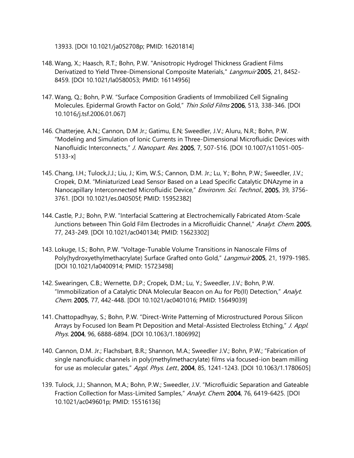13933. [DOI 10.1021/ja052708p; PMID: 16201814]

- 148. Wang, X.; Haasch, R.T.; Bohn, P.W. "Anisotropic Hydrogel Thickness Gradient Films Derivatized to Yield Three-Dimensional Composite Materials," Langmuir 2005, 21, 8452-8459. [DOI 10.1021/la0580053; PMID: 16114956]
- 147. Wang, Q.; Bohn, P.W. "Surface Composition Gradients of Immobilized Cell Signaling Molecules. Epidermal Growth Factor on Gold," Thin Solid Films 2006, 513, 338-346. [DOI 10.1016/j.tsf.2006.01.067]
- 146. Chatterjee, A.N.; Cannon, D.M Jr.; Gatimu, E.N; Sweedler, J.V.; Aluru, N.R.; Bohn, P.W. "Modeling and Simulation of Ionic Currents in Three-Dimensional Microfluidic Devices with Nanofluidic Interconnects," J. Nanopart. Res. 2005, 7, 507-516. [DOI 10.1007/s11051-005-5133-x]
- 145. Chang, I.H.; Tulock,J.J.; Liu, J.; Kim, W.S.; Cannon, D.M. Jr.; Lu, Y.; Bohn, P.W.; Sweedler, J.V.; Cropek, D.M. "Miniaturized Lead Sensor Based on a Lead Specific Catalytic DNAzyme in a Nanocapillary Interconnected Microfluidic Device," Environm. Sci. Technol., 2005, 39, 3756-3761. [DOI 10.1021/es.040505f; PMID: 15952382]
- 144. Castle, P.J.; Bohn, P.W. "Interfacial Scattering at Electrochemically Fabricated Atom-Scale Junctions between Thin Gold Film Electrodes in a Microfluidic Channel," Analyt. Chem. 2005, 77, 243-249. [DOI 10.1021/ac040134l; PMID: 15623302]
- 143. Lokuge, I.S.; Bohn, P.W. "Voltage-Tunable Volume Transitions in Nanoscale Films of Poly(hydroxyethylmethacrylate) Surface Grafted onto Gold," Langmuir 2005, 21, 1979-1985. [DOI 10.1021/la0400914; PMID: 15723498]
- 142. Swearingen, C.B.; Wernette, D.P.; Cropek, D.M.; Lu, Y.; Sweedler, J.V.; Bohn, P.W. "Immobilization of a Catalytic DNA Molecular Beacon on Au for Pb(II) Detection," Analyt. Chem. 2005, 77, 442-448. [DOI 10.1021/ac0401016; PMID: 15649039]
- 141. Chattopadhyay, S.; Bohn, P.W. "Direct-Write Patterning of Microstructured Porous Silicon Arrays by Focused Ion Beam Pt Deposition and Metal-Assisted Electroless Etching," J. Appl. Phys. 2004, 96, 6888-6894. [DOI 10.1063/1.1806992]
- 140. Cannon, D.M. Jr.; Flachsbart, B.R.; Shannon, M.A.; Sweedler, J.V.; Bohn, P.W.; "Fabrication of single nanofluidic channels in poly(methylmethacrylate) films via focused-ion beam milling for use as molecular gates," Appl. Phys. Lett., 2004, 85, 1241-1243. [DOI 10.1063/1.1780605]
- 139. Tulock, J.J.; Shannon, M.A.; Bohn, P.W.; Sweedler, J.V. "Microfluidic Separation and Gateable Fraction Collection for Mass-Limited Samples," Analyt. Chem. 2004, 76, 6419-6425. [DOI 10.1021/ac049601p; PMID: 15516136]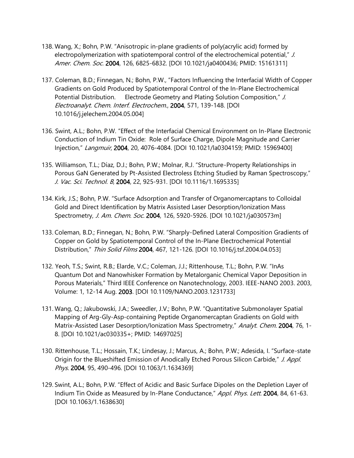- 138. Wang, X.; Bohn, P.W. "Anisotropic in-plane gradients of poly(acrylic acid) formed by electropolymerization with spatiotemporal control of the electrochemical potential," J. Amer. Chem. Soc. 2004, 126, 6825-6832. [DOI 10.1021/ja0400436; PMID: 15161311]
- 137. Coleman, B.D.; Finnegan, N.; Bohn, P.W., "Factors Influencing the Interfacial Width of Copper Gradients on Gold Produced by Spatiotemporal Control of the In-Plane Electrochemical Potential Distribution. Electrode Geometry and Plating Solution Composition," J. Electroanalyt. Chem. Interf. Electrochem., 2004, 571, 139-148. [DOI 10.1016/j.jelechem.2004.05.004]
- 136. Swint, A.L.; Bohn, P.W. "Effect of the Interfacial Chemical Environment on In-Plane Electronic Conduction of Indium Tin Oxide: Role of Surface Charge, Dipole Magnitude and Carrier Injection," Langmuir, 2004, 20, 4076-4084. [DOI 10.1021/la0304159; PMID: 15969400]
- 135. Williamson, T.L.; Díaz, D.J.; Bohn, P.W.; Molnar, R.J. "Structure-Property Relationships in Porous GaN Generated by Pt-Assisted Electroless Etching Studied by Raman Spectroscopy," J. Vac. Sci. Technol. B, 2004, 22, 925-931. [DOI 10.1116/1.1695335]
- 134. Kirk, J.S.; Bohn, P.W. "Surface Adsorption and Transfer of Organomercaptans to Colloidal Gold and Direct Identification by Matrix Assisted Laser Desorption/Ionization Mass Spectrometry, J. Am. Chem. Soc. 2004, 126, 5920-5926. [DOI 10.1021/ja030573m]
- 133. Coleman, B.D.; Finnegan, N.; Bohn, P.W. "Sharply-Defined Lateral Composition Gradients of Copper on Gold by Spatiotemporal Control of the In-Plane Electrochemical Potential Distribution," Thin Solid Films 2004, 467, 121-126. [DOI 10.1016/j.tsf.2004.04.053]
- 132. Yeoh, T.S.; Swint, R.B.; Elarde, V.C.; Coleman, J.J.; Rittenhouse, T.L.; Bohn, P.W. "InAs Quantum Dot and Nanowhisker Formation by Metalorganic Chemical Vapor Deposition in Porous Materials," Third IEEE Conference on Nanotechnology, 2003. IEEE-NANO 2003. 2003, Volume: 1, 12-14 Aug. 2003. [DOI 10.1109/NANO.2003.1231733]
- 131. Wang, Q.; Jakubowski, J.A.; Sweedler, J.V.; Bohn, P.W. "Quantitative Submonolayer Spatial Mapping of Arg-Gly-Asp-containing Peptide Organomercaptan Gradients on Gold with Matrix-Assisted Laser Desorption/Ionization Mass Spectrometry," Analyt. Chem. 2004, 76, 1-8. [DOI 10.1021/ac030335+; PMID: 14697025]
- 130. Rittenhouse, T.L.; Hossain, T.K.; Lindesay, J.; Marcus, A.; Bohn, P.W.; Adesida, I. "Surface-state Origin for the Blueshifted Emission of Anodically Etched Porous Silicon Carbide," J. Appl. Phys. 2004, 95, 490-496. [DOI 10.1063/1.1634369]
- 129. Swint, A.L.; Bohn, P.W. "Effect of Acidic and Basic Surface Dipoles on the Depletion Layer of Indium Tin Oxide as Measured by In-Plane Conductance," Appl. Phys. Lett. 2004, 84, 61-63. [DOI 10.1063/1.1638630]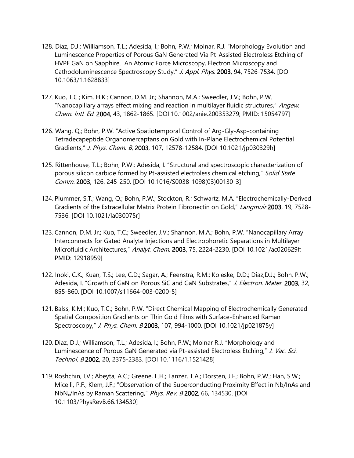- 128. Díaz, D.J.; Williamson, T.L.; Adesida, I.; Bohn, P.W.; Molnar, R.J. "Morphology Evolution and Luminescence Properties of Porous GaN Generated Via Pt-Assisted Electroless Etching of HVPE GaN on Sapphire. An Atomic Force Microscopy, Electron Microscopy and Cathodoluminescence Spectroscopy Study," J. Appl. Phys. 2003, 94, 7526-7534. [DOI 10.1063/1.1628833]
- 127. Kuo, T.C.; Kim, H.K.; Cannon, D.M. Jr.; Shannon, M.A.; Sweedler, J.V.; Bohn, P.W. "Nanocapillary arrays effect mixing and reaction in multilayer fluidic structures," Angew. Chem. Intl. Ed. 2004, 43, 1862-1865. [DOI 10.1002/anie.200353279; PMID: 15054797]
- 126. Wang, Q.; Bohn, P.W. "Active Spatiotemporal Control of Arg-Gly-Asp-containing Tetradecapeptide Organomercaptans on Gold with In-Plane Electrochemical Potential Gradients," J. Phys. Chem. B, 2003, 107, 12578-12584. [DOI 10.1021/jp030329h]
- 125. Rittenhouse, T.L.; Bohn, P.W.; Adesida, I. "Structural and spectroscopic characterization of porous silicon carbide formed by Pt-assisted electroless chemical etching," Solid State Comm. 2003, 126, 245-250. [DOI 10.1016/S0038-1098(03)00130-3]
- 124. Plummer, S.T.; Wang, Q.; Bohn, P.W.; Stockton, R.; Schwartz, M.A. "Electrochemically-Derived Gradients of the Extracellular Matrix Protein Fibronectin on Gold," Langmuir 2003, 19, 7528-7536. [DOI 10.1021/la030075r]
- 123. Cannon, D.M. Jr.; Kuo, T.C.; Sweedler, J.V.; Shannon, M.A.; Bohn, P.W. "Nanocapillary Array Interconnects for Gated Analyte Injections and Electrophoretic Separations in Multilayer Microfluidic Architectures," Analyt. Chem. 2003, 75, 2224-2230. [DOI 10.1021/ac020629f; PMID: 12918959]
- 122. Inoki, C.K.; Kuan, T.S.; Lee, C.D.; Sagar, A.; Feenstra, R.M.; Koleske, D.D.; Díaz,D.J.; Bohn, P.W.; Adesida, I. "Growth of GaN on Porous SiC and GaN Substrates," J. Electron. Mater. 2003, 32, 855-860. [DOI 10.1007/s11664-003-0200-5]
- 121. Balss, K.M.; Kuo, T.C.; Bohn, P.W. "Direct Chemical Mapping of Electrochemically Generated Spatial Composition Gradients on Thin Gold Films with Surface-Enhanced Raman Spectroscopy," J. Phys. Chem. B 2003, 107, 994-1000. [DOI 10.1021/jp021875y]
- 120. Díaz, D.J.; Williamson, T.L.; Adesida, I.; Bohn, P.W.; Molnar R.J. "Morphology and Luminescence of Porous GaN Generated via Pt-assisted Electroless Etching," J. Vac. Sci. Technol. B 2002, 20, 2375-2383. [DOI 10.1116/1.1521428]
- 119. Roshchin, I.V.; Abeyta, A.C.; Greene, L.H.; Tanzer, T.A.; Dorsten, J.F.; Bohn, P.W.; Han, S.W.; Micelli, P.F.; Klem, J.F.; "Observation of the Superconducting Proximity Effect in Nb/InAs and NbNx/InAs by Raman Scattering," Phys. Rev. B 2002, 66, 134530. [DOI 10.1103/PhysRevB.66.134530]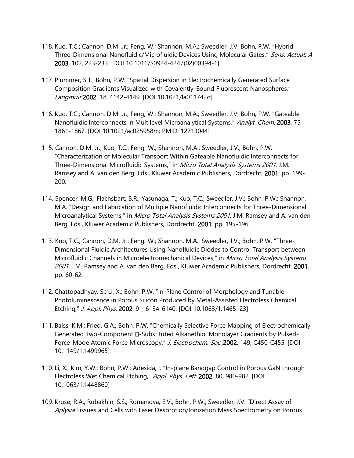- 118. Kuo, T.C.; Cannon, D.M. Jr.; Feng, W.; Shannon, M.A.; Sweedler, J.V; Bohn, P.W. "Hybrid Three-Dimensional Nanofluidic/Microfluidic Devices Using Molecular Gates," Sens. Actuat. A 2003, 102, 223-233. [DOI 10.1016/S0924-4247(02)00394-1]
- 117. Plummer, S.T.; Bohn, P.W. "Spatial Dispersion in Electrochemically Generated Surface Composition Gradients Visualized with Covalently-Bound Fluorescent Nanospheres," Langmuir 2002, 18, 4142-4149. [DOI 10.1021/la011742o]
- 116. Kuo, T.C.; Cannon, D.M. Jr.; Feng, W.; Shannon, M.A.; Sweedler, J.V; Bohn, P.W. "Gateable Nanofluidic Interconnects in Multilevel Microanalytical Systems," Analyt. Chem. 2003, 75, 1861-1867. [DOI 10.1021/ac025958m; PMID: 12713044]
- 115. Cannon, D.M. Jr.; Kuo, T.C.; Feng, W.; Shannon, M.A.; Sweedler, J.V.; Bohn, P.W. "Characterization of Molecular Transport Within Gateable Nanofluidic Interconnects for Three-Dimensional Microfluidic Systems," in Micro Total Analysis Systems 2001, J.M. Ramsey and A. van den Berg, Eds., Kluwer Academic Publishers, Dordrecht, 2001, pp. 199- 200.
- 114. Spencer, M.G.; Flachsbart, B.R.; Yasunaga, T.; Kuo, T.C.; Sweedler, J.V.; Bohn, P.W.; Shannon, M.A. "Design and Fabrication of Multiple Nanofluidic Interconnects for Three-Dimensional Microanalytical Systems," in Micro Total Analysis Systems 2001, J.M. Ramsey and A. van den Berg, Eds., Kluwer Academic Publishers, Dordrecht, 2001, pp. 195-196.
- 113. Kuo, T.C.; Cannon, D.M. Jr.; Feng, W.; Shannon, M.A.; Sweedler, J.V.; Bohn, P.W. "Three-Dimensional Fluidic Architectures Using Nanofluidic Diodes to Control Transport between Microfluidic Channels in Microelectromechanical Devices," in Micro Total Analysis Systems 2001, J.M. Ramsey and A. van den Berg, Eds., Kluwer Academic Publishers, Dordrecht, 2001, pp. 60-62.
- 112. Chattopadhyay, S.; Li, X.; Bohn, P.W. "In-Plane Control of Morphology and Tunable Photoluminescence in Porous Silicon Produced by Metal-Assisted Electroless Chemical Etching," J. Appl. Phys. 2002, 91, 6134-6140. [DOI 10.1063/1.1465123]
- 111. Balss, K.M.; Fried, G.A.; Bohn, P.W. "Chemically Selective Force Mapping of Electrochemically Generated Two-Component D-Substituted Alkanethiol Monolayer Gradients by Pulsed-Force-Mode Atomic Force Microscopy," J. Electrochem. Soc., 2002, 149, C450-C455. [DOI 10.1149/1.1499965]
- 110. Li, X.; Kim, Y.W.; Bohn, P.W.; Adesida, I. "In-plane Bandgap Control in Porous GaN through Electroless Wet Chemical Etching," Appl. Phys. Lett. 2002, 80, 980-982. [DOI 10.1063/1.1448860]
- 109. Kruse, R.A.; Rubakhin, S.S.; Romanova, E.V.; Bohn, P.W.; Sweedler, J.V. "Direct Assay of Aplysia Tissues and Cells with Laser Desorption/Ionization Mass Spectrometry on Porous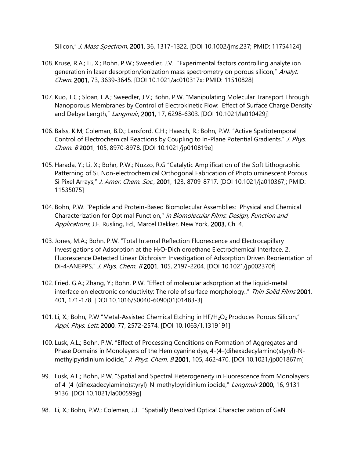Silicon," J. Mass Spectrom. 2001, 36, 1317-1322. [DOI 10.1002/jms.237; PMID: 11754124]

- 108. Kruse, R.A.; Li, X.; Bohn, P.W.; Sweedler, J.V. "Experimental factors controlling analyte ion generation in laser desorption/ionization mass spectrometry on porous silicon," Analyt. Chem. 2001, 73, 3639-3645. [DOI 10.1021/ac010317x; PMID: 11510828]
- 107. Kuo, T.C.; Sloan, L.A.; Sweedler, J.V.; Bohn, P.W. "Manipulating Molecular Transport Through Nanoporous Membranes by Control of Electrokinetic Flow: Effect of Surface Charge Density and Debye Length," Langmuir, 2001, 17, 6298-6303. [DOI 10.1021/la010429j]
- 106. Balss, K.M; Coleman, B.D.; Lansford, C.H.; Haasch, R.; Bohn, P.W. "Active Spatiotemporal Control of Electrochemical Reactions by Coupling to In-Plane Potential Gradients," J. Phys. Chem. B 2001, 105, 8970-8978. [DOI 10.1021/jp010819e]
- 105. Harada, Y.; Li, X.; Bohn, P.W.; Nuzzo, R.G "Catalytic Amplification of the Soft Lithographic Patterning of Si. Non-electrochemical Orthogonal Fabrication of Photoluminescent Porous Si Pixel Arrays," J. Amer. Chem. Soc., 2001, 123, 8709-8717. [DOI 10.1021/ja010367j; PMID: 11535075]
- 104. Bohn, P.W. "Peptide and Protein-Based Biomolecular Assemblies: Physical and Chemical Characterization for Optimal Function," in Biomolecular Films: Design, Function and Applications, J.F. Rusling, Ed., Marcel Dekker, New York, 2003, Ch. 4.
- 103. Jones, M.A.; Bohn, P.W. "Total Internal Reflection Fluorescence and Electrocapillary Investigations of Adsorption at the H<sub>2</sub>O-Dichloroethane Electrochemical Interface. 2. Fluorescence Detected Linear Dichroism Investigation of Adsorption Driven Reorientation of Di-4-ANEPPS," J. Phys. Chem. B 2001, 105, 2197-2204. [DOI 10.1021/jp002370f]
- 102. Fried, G.A.; Zhang, Y.; Bohn, P.W. "Effect of molecular adsorption at the liquid-metal interface on electronic conductivity: The role of surface morphology.," Thin Solid Films 2001, 401, 171-178. [DOI 10.1016/S0040-6090(01)01483-3]
- 101. Li, X.; Bohn, P.W "Metal-Assisted Chemical Etching in HF/H<sub>2</sub>O<sub>2</sub> Produces Porous Silicon," Appl. Phys. Lett. 2000, 77, 2572-2574. [DOI 10.1063/1.1319191]
- 100. Lusk, A.L.; Bohn, P.W. "Effect of Processing Conditions on Formation of Aggregates and Phase Domains in Monolayers of the Hemicyanine dye, 4-(4-(dihexadecylamino)styryl)-Nmethylpyridinium iodide," J. Phys. Chem. B 2001, 105, 462-470. [DOI 10.1021/jp001867m]
- 99. Lusk, A.L.; Bohn, P.W. "Spatial and Spectral Heterogeneity in Fluorescence from Monolayers of 4-(4-(dihexadecylamino)styryl)-N-methylpyridinium iodide," Langmuir 2000, 16, 9131-9136. [DOI 10.1021/la000599g]
- 98. Li, X.; Bohn, P.W.; Coleman, J.J. "Spatially Resolved Optical Characterization of GaN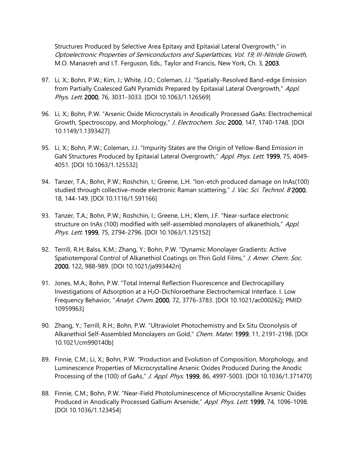Structures Produced by Selective Area Epitaxy and Epitaxial Lateral Overgrowth," in Optoelectronic Properties of Semiconductors and Superlattices, Vol. 19; III-Nitride Growth, M.O. Manasreh and I.T. Ferguson, Eds., Taylor and Francis, New York, Ch. 3, 2003.

- 97. Li, X.; Bohn, P.W.; Kim, J.; White, J.O.; Coleman, J.J. "Spatially-Resolved Band-edge Emission from Partially Coalesced GaN Pyramids Prepared by Epitaxial Lateral Overgrowth," Appl. Phys. Lett. 2000, 76, 3031-3033. [DOI 10.1063/1.126569]
- 96. Li, X.; Bohn, P.W. "Arsenic Oxide Microcrystals in Anodically Processed GaAs: Electrochemical Growth, Spectroscopy, and Morphology," J. Electrochem. Soc. 2000, 147, 1740-1748. [DOI 10.1149/1.1393427]
- 95. Li, X.; Bohn, P.W.; Coleman, J.J. "Impurity States are the Origin of Yellow-Band Emission in GaN Structures Produced by Epitaxial Lateral Overgrowth," Appl. Phys. Lett. 1999, 75, 4049-4051. [DOI 10.1063/1.125532]
- 94. Tanzer, T.A.; Bohn, P.W.; Roshchin, I.; Greene, L.H. "Ion-etch produced damage on InAs(100) studied through collective-mode electronic Raman scattering," J. Vac. Sci. Technol. B 2000, 18, 144-149. [DOI 10.1116/1.591166]
- 93. Tanzer, T.A.; Bohn, P.W.; Roshchin, I.; Greene, L.H.; Klem, J.F. "Near-surface electronic structure on InAs (100) modified with self-assembled monolayers of alkanethiols," Appl. Phys. Lett. 1999, 75, 2794-2796. [DOI 10.1063/1.125152]
- 92. Terrill, R.H; Balss, K.M.; Zhang, Y.; Bohn, P.W. "Dynamic Monolayer Gradients: Active Spatiotemporal Control of Alkanethiol Coatings on Thin Gold Films," J. Amer. Chem. Soc. 2000, 122, 988-989. [DOI 10.1021/ja993442n]
- 91. Jones, M.A.; Bohn, P.W. "Total Internal Reflection Fluorescence and Electrocapillary Investigations of Adsorption at a H<sub>2</sub>O-Dichloroethane Electrochemical Interface. I. Low Frequency Behavior, "Analyt. Chem. 2000, 72, 3776-3783. [DOI 10.1021/ac000262j; PMID: 10959963]
- 90. Zhang, Y.; Terrill, R.H.; Bohn, P.W. "Ultraviolet Photochemistry and Ex Situ Ozonolysis of Alkanethiol Self-Assembled Monolayers on Gold," Chem. Mater. 1999, 11, 2191-2198. [DOI 10.1021/cm990140b]
- 89. Finnie, C.M.; Li, X.; Bohn, P.W. "Production and Evolution of Composition, Morphology, and Luminescence Properties of Microcrystalline Arsenic Oxides Produced During the Anodic Processing of the (100) of GaAs," J. Appl. Phys. 1999, 86, 4997-5003. [DOI 10.1036/1.371470]
- 88. Finnie, C.M.; Bohn, P.W. "Near-Field Photoluminescence of Microcrystalline Arsenic Oxides Produced in Anodically Processed Gallium Arsenide," Appl. Phys. Lett. 1999, 74, 1096-1098. [DOI 10.1036/1.123454]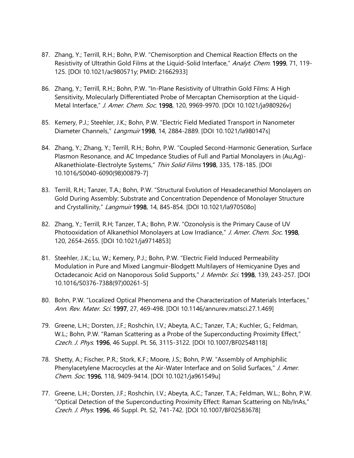- 87. Zhang, Y.; Terrill, R.H.; Bohn, P.W. "Chemisorption and Chemical Reaction Effects on the Resistivity of Ultrathin Gold Films at the Liquid-Solid Interface," Analyt. Chem. 1999, 71, 119-125. [DOI 10.1021/ac980571y; PMID: 21662933]
- 86. Zhang, Y.; Terrill, R.H.; Bohn, P.W. "In-Plane Resistivity of Ultrathin Gold Films: A High Sensitivity, Molecularly Differentiated Probe of Mercaptan Chemisorption at the Liquid-Metal Interface," J. Amer. Chem. Soc. 1998, 120, 9969-9970. [DOI 10.1021/ja980926v]
- 85. Kemery, P.J.; Steehler, J.K.; Bohn, P.W. "Electric Field Mediated Transport in Nanometer Diameter Channels," Langmuir 1998, 14, 2884-2889. [DOI 10.1021/la980147s]
- 84. Zhang, Y.; Zhang, Y.; Terrill, R.H.; Bohn, P.W. "Coupled Second-Harmonic Generation, Surface Plasmon Resonance, and AC Impedance Studies of Full and Partial Monolayers in (Au,Ag)- Alkanethiolate-Electrolyte Systems," Thin Solid Films 1998, 335, 178-185. [DOI 10.1016/S0040-6090(98)00879-7]
- 83. Terrill, R.H.; Tanzer, T.A.; Bohn, P.W. "Structural Evolution of Hexadecanethiol Monolayers on Gold During Assembly: Substrate and Concentration Dependence of Monolayer Structure and Crystallinity," Langmuir 1998, 14, 845-854. [DOI 10.1021/la970508o]
- 82. Zhang, Y.; Terrill, R.H; Tanzer, T.A.; Bohn, P.W. "Ozonolysis is the Primary Cause of UV Photooxidation of Alkanethiol Monolayers at Low Irradiance," J. Amer. Chem. Soc. 1998, 120, 2654-2655. [DOI 10.1021/ja9714853]
- 81. Steehler, J.K.; Lu, W.; Kemery, P.J.; Bohn, P.W. "Electric Field Induced Permeability Modulation in Pure and Mixed Langmuir-Blodgett Multilayers of Hemicyanine Dyes and Octadecanoic Acid on Nanoporous Solid Supports," J. Membr. Sci. 1998, 139, 243-257. [DOI 10.1016/S0376-7388(97)00261-5]
- 80. Bohn, P.W. "Localized Optical Phenomena and the Characterization of Materials Interfaces," Ann. Rev. Mater. Sci. 1997, 27, 469-498. [DOI 10.1146/annurev.matsci.27.1.469]
- 79. Greene, L.H.; Dorsten, J.F.; Roshchin, I.V.; Abeyta, A.C.; Tanzer, T.A.; Kuchler, G.; Feldman, W.L.; Bohn, P.W. "Raman Scattering as a Probe of the Superconducting Proximity Effect," Czech. J. Phys. 1996, 46 Suppl. Pt. S6, 3115-3122. [DOI 10.1007/BF02548118]
- 78. Shetty, A.; Fischer, P.R.; Stork, K.F.; Moore, J.S.; Bohn, P.W. "Assembly of Amphiphilic Phenylacetylene Macrocycles at the Air-Water Interface and on Solid Surfaces," J. Amer. Chem. Soc. 1996, 118, 9409-9414. [DOI 10.1021/ja961549u]
- 77. Greene, L.H.; Dorsten, J.F.; Roshchin, I.V.; Abeyta, A.C.; Tanzer, T.A.; Feldman, W.L.; Bohn, P.W. "Optical Detection of the Superconducting Proximity Effect: Raman Scattering on Nb/InAs," Czech. J. Phys. 1996, 46 Suppl. Pt. S2, 741-742. [DOI 10.1007/BF02583678]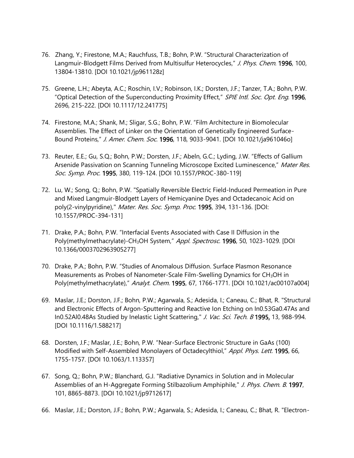- 76. Zhang, Y.; Firestone, M.A.; Rauchfuss, T.B.; Bohn, P.W. "Structural Characterization of Langmuir-Blodgett Films Derived from Multisulfur Heterocycles," J. Phys. Chem. 1996, 100, 13804-13810. [DOI 10.1021/jp961128z]
- 75. Greene, L.H.; Abeyta, A.C.; Roschin, I.V.; Robinson, I.K.; Dorsten, J.F.; Tanzer, T.A.; Bohn, P.W. "Optical Detection of the Superconducting Proximity Effect," SPIE Intl. Soc. Opt. Eng. 1996, 2696, 215-222. [DOI 10.1117/12.241775]
- 74. Firestone, M.A.; Shank, M.; Sligar, S.G.; Bohn, P.W. "Film Architecture in Biomolecular Assemblies. The Effect of Linker on the Orientation of Genetically Engineered Surface-Bound Proteins," J. Amer. Chem. Soc. 1996, 118, 9033-9041. [DOI 10.1021/ja961046o]
- 73. Reuter, E.E.; Gu, S.Q.; Bohn, P.W.; Dorsten, J.F.; Abeln, G.C.; Lyding, J.W. "Effects of Gallium Arsenide Passivation on Scanning Tunneling Microscope Excited Luminescence," Mater Res. Soc. Symp. Proc. 1995, 380, 119-124. [DOI 10.1557/PROC-380-119]
- 72. Lu, W.; Song, Q.; Bohn, P.W. "Spatially Reversible Electric Field-Induced Permeation in Pure and Mixed Langmuir-Blodgett Layers of Hemicyanine Dyes and Octadecanoic Acid on poly(2-vinylpyridine)," Mater. Res. Soc. Symp. Proc. 1995, 394, 131-136. [DOI: 10.1557/PROC-394-131]
- 71. Drake, P.A.; Bohn, P.W. "Interfacial Events Associated with Case II Diffusion in the Poly(methylmethacrylate)-CH<sub>3</sub>OH System," Appl. Spectrosc. 1996, 50, 1023-1029. [DOI 10.1366/0003702963905277]
- 70. Drake, P.A.; Bohn, P.W. "Studies of Anomalous Diffusion. Surface Plasmon Resonance Measurements as Probes of Nanometer-Scale Film-Swelling Dynamics for CH<sub>3</sub>OH in Poly(methylmethacrylate)," Analyt. Chem. 1995, 67, 1766-1771. [DOI 10.1021/ac00107a004]
- 69. Maslar, J.E.; Dorston, J.F.; Bohn, P.W.; Agarwala, S.; Adesida, I.; Caneau, C.; Bhat, R. "Structural and Electronic Effects of Argon-Sputtering and Reactive Ion Etching on In0.53Ga0.47As and In0.52Al0.48As Studied by Inelastic Light Scattering," J. Vac. Sci. Tech. B 1995, 13, 988-994. [DOI 10.1116/1.588217]
- 68. Dorsten, J.F.; Maslar, J.E.; Bohn, P.W. "Near-Surface Electronic Structure in GaAs (100) Modified with Self-Assembled Monolayers of Octadecylthiol," Appl. Phys. Lett. 1995, 66, 1755-1757. [DOI 10.1063/1.113357]
- 67. Song, Q.; Bohn, P.W.; Blanchard, G.J. "Radiative Dynamics in Solution and in Molecular Assemblies of an H-Aggregate Forming Stilbazolium Amphiphile," J. Phys. Chem. B. 1997, 101, 8865-8873. [DOI 10.1021/jp9712617]
- 66. Maslar, J.E.; Dorston, J.F.; Bohn, P.W.; Agarwala, S.; Adesida, I.; Caneau, C.; Bhat, R. "Electron-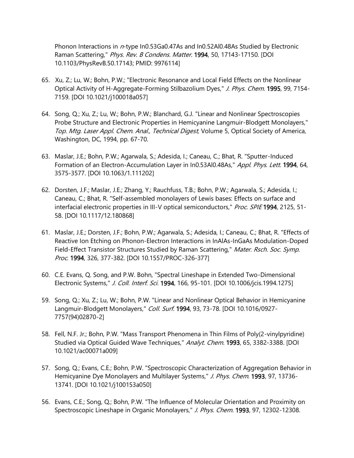Phonon Interactions in n-type In0.53Ga0.47As and In0.52AI0.48As Studied by Electronic Raman Scattering," Phys. Rev. B Condens. Matter. 1994, 50, 17143-17150. [DOI 10.1103/PhysRevB.50.17143; PMID: 9976114]

- 65. Xu, Z.; Lu, W.; Bohn, P.W.; "Electronic Resonance and Local Field Effects on the Nonlinear Optical Activity of H-Aggregate-Forming Stilbazolium Dyes," J. Phys. Chem. 1995, 99, 7154-7159. [DOI 10.1021/j100018a057]
- 64. Song, Q.; Xu, Z.; Lu, W.; Bohn, P.W.; Blanchard, G.J. "Linear and Nonlinear Spectroscopies Probe Structure and Electronic Properties in Hemicyanine Langmuir-Blodgett Monolayers," Top. Mtg. Laser Appl. Chem. Anal., Technical Digest, Volume 5, Optical Society of America, Washington, DC, 1994, pp. 67-70.
- 63. Maslar, J.E.; Bohn, P.W.; Agarwala, S.; Adesida, I.; Caneau, C.; Bhat, R. "Sputter-Induced Formation of an Electron-Accumulation Layer in In0.53Al0.48As," Appl. Phys. Lett. 1994, 64, 3575-3577. [DOI 10.1063/1.111202]
- 62. Dorsten, J.F.; Maslar, J.E.; Zhang, Y.; Rauchfuss, T.B.; Bohn, P.W.; Agarwala, S.; Adesida, I.; Caneau, C.; Bhat, R. "Self-assembled monolayers of Lewis bases: Effects on surface and interfacial electronic properties in III-V optical semiconductors," Proc. SPIE 1994, 2125, 51-58. [DOI 10.1117/12.180868]
- 61. Maslar, J.E.; Dorsten, J.F.; Bohn, P.W.; Agarwala, S.; Adesida, I.; Caneau, C.; Bhat, R. "Effects of Reactive Ion Etching on Phonon-Electron Interactions in InAlAs-InGaAs Modulation-Doped Field-Effect Transistor Structures Studied by Raman Scattering," Mater. Rsch. Soc. Symp. Proc. 1994, 326, 377-382. [DOI 10.1557/PROC-326-377]
- 60. C.E. Evans, Q. Song, and P.W. Bohn, "Spectral Lineshape in Extended Two-Dimensional Electronic Systems," J. Coll. Interf. Sci. 1994, 166, 95-101. [DOI 10.1006/jcis.1994.1275]
- 59. Song, Q.; Xu, Z.; Lu, W.; Bohn, P.W. "Linear and Nonlinear Optical Behavior in Hemicyanine Langmuir-Blodgett Monolayers," Coll. Surf. 1994, 93, 73-78. [DOI 10.1016/0927- 7757(94)02870-2]
- 58. Fell, N.F. Jr.; Bohn, P.W. "Mass Transport Phenomena in Thin Films of Poly(2-vinylpyridine) Studied via Optical Guided Wave Techniques," Analyt. Chem. 1993, 65, 3382-3388. [DOI 10.1021/ac00071a009]
- 57. Song, Q.; Evans, C.E.; Bohn, P.W. "Spectroscopic Characterization of Aggregation Behavior in Hemicyanine Dye Monolayers and Multilayer Systems," J. Phys. Chem. 1993, 97, 13736-13741. [DOI 10.1021/j100153a050]
- 56. Evans, C.E.; Song, Q.; Bohn, P.W. "The Influence of Molecular Orientation and Proximity on Spectroscopic Lineshape in Organic Monolayers," J. Phys. Chem. 1993, 97, 12302-12308.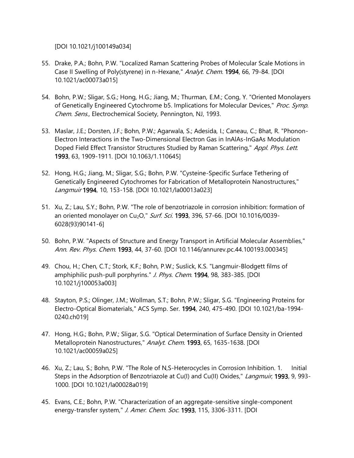[DOI 10.1021/j100149a034]

- 55. Drake, P.A.; Bohn, P.W. "Localized Raman Scattering Probes of Molecular Scale Motions in Case II Swelling of Poly(styrene) in n-Hexane," Analyt. Chem. 1994, 66, 79-84. [DOI 10.1021/ac00073a015]
- 54. Bohn, P.W.; Sligar, S.G.; Hong, H.G.; Jiang, M.; Thurman, E.M.; Cong, Y. "Oriented Monolayers of Genetically Engineered Cytochrome b5. Implications for Molecular Devices," Proc. Symp. Chem. Sens., Electrochemical Society, Pennington, NJ, 1993.
- 53. Maslar, J.E.; Dorsten, J.F.; Bohn, P.W.; Agarwala, S.; Adesida, I.; Caneau, C.; Bhat, R. "Phonon-Electron Interactions in the Two-Dimensional Electron Gas in InAlAs-InGaAs Modulation Doped Field Effect Transistor Structures Studied by Raman Scattering," Appl. Phys. Lett. 1993, 63, 1909-1911. [DOI 10.1063/1.110645]
- 52. Hong, H.G.; Jiang, M.; Sligar, S.G.; Bohn, P.W. "Cysteine-Specific Surface Tethering of Genetically Engineered Cytochromes for Fabrication of Metalloprotein Nanostructures," Langmuir 1994, 10, 153-158. [DOI 10.1021/la00013a023]
- 51. Xu, Z.; Lau, S.Y.; Bohn, P.W. "The role of benzotriazole in corrosion inhibition: formation of an oriented monolayer on Cu<sub>2</sub>O," Surf. Sci. 1993, 396, 57-66. [DOI 10.1016/0039-6028(93)90141-6]
- 50. Bohn, P.W. "Aspects of Structure and Energy Transport in Artificial Molecular Assemblies," Ann. Rev. Phys. Chem. 1993, 44, 37-60. [DOI 10.1146/annurev.pc.44.100193.000345]
- 49. Chou, H.; Chen, C.T.; Stork, K.F.; Bohn, P.W.; Suslick, K.S. "Langmuir-Blodgett films of amphiphilic push-pull porphyrins." J. Phys. Chem. 1994, 98, 383-385. [DOI] 10.1021/j100053a003]
- 48. Stayton, P.S.; Olinger, J.M.; Wollman, S.T.; Bohn, P.W.; Sligar, S.G. "Engineering Proteins for Electro-Optical Biomaterials," ACS Symp. Ser. 1994, 240, 475-490. [DOI 10.1021/ba-1994- 0240.ch019]
- 47. Hong, H.G.; Bohn, P.W.; Sligar, S.G. "Optical Determination of Surface Density in Oriented Metalloprotein Nanostructures," Analyt. Chem. 1993, 65, 1635-1638. [DOI 10.1021/ac00059a025]
- 46. Xu, Z.; Lau, S.; Bohn, P.W. "The Role of N,S-Heterocycles in Corrosion Inhibition. 1. Initial Steps in the Adsorption of Benzotriazole at Cu(I) and Cu(II) Oxides," *Langmuir*, 1993, 9, 993-1000. [DOI 10.1021/la00028a019]
- 45. Evans, C.E.; Bohn, P.W. "Characterization of an aggregate-sensitive single-component energy-transfer system," J. Amer. Chem. Soc. 1993, 115, 3306-3311. [DOI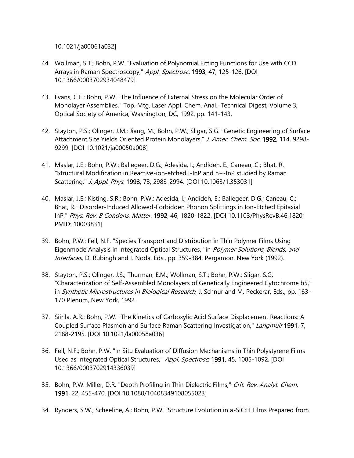10.1021/ja00061a032]

- 44. Wollman, S.T.; Bohn, P.W. "Evaluation of Polynomial Fitting Functions for Use with CCD Arrays in Raman Spectroscopy," Appl. Spectrosc. 1993, 47, 125-126. [DOI 10.1366/0003702934048479]
- 43. Evans, C.E.; Bohn, P.W. "The Influence of External Stress on the Molecular Order of Monolayer Assemblies," Top. Mtg. Laser Appl. Chem. Anal., Technical Digest, Volume 3, Optical Society of America, Washington, DC, 1992, pp. 141-143.
- 42. Stayton, P.S.; Olinger, J.M.; Jiang, M.; Bohn, P.W.; Sligar, S.G. "Genetic Engineering of Surface Attachment Site Yields Oriented Protein Monolayers," J. Amer. Chem. Soc. 1992, 114, 9298-9299. [DOI 10.1021/ja00050a008]
- 41. Maslar, J.E.; Bohn, P.W.; Ballegeer, D.G.; Adesida, I.; Andideh, E.; Caneau, C.; Bhat, R. "Structural Modification in Reactive-ion-etched I-InP and n+-InP studied by Raman Scattering," J. Appl. Phys. 1993, 73, 2983-2994. [DOI 10.1063/1.353031]
- 40. Maslar, J.E.; Kisting, S.R.; Bohn, P.W.; Adesida, I.; Andideh, E.; Ballegeer, D.G.; Caneau, C.; Bhat, R. "Disorder-Induced Allowed-Forbidden Phonon Splittings in Ion-Etched Epitaxial InP," Phys. Rev. B Condens. Matter. 1992, 46, 1820-1822. [DOI 10.1103/PhysRevB.46.1820; PMID: 10003831]
- 39. Bohn, P.W.; Fell, N.F. "Species Transport and Distribution in Thin Polymer Films Using Eigenmode Analysis in Integrated Optical Structures," in Polymer Solutions, Blends, and Interfaces, D. Rubingh and I. Noda, Eds., pp. 359-384, Pergamon, New York (1992).
- 38. Stayton, P.S.; Olinger, J.S.; Thurman, E.M.; Wollman, S.T.; Bohn, P.W.; Sligar, S.G. "Characterization of Self-Assembled Monolayers of Genetically Engineered Cytochrome b5," in Synthetic Microstructures in Biological Research, J. Schnur and M. Peckerar, Eds., pp. 163-170 Plenum, New York, 1992.
- 37. Siirila, A.R.; Bohn, P.W. "The Kinetics of Carboxylic Acid Surface Displacement Reactions: A Coupled Surface Plasmon and Surface Raman Scattering Investigation," Langmuir 1991, 7, 2188-2195. [DOI 10.1021/la00058a036]
- 36. Fell, N.F.; Bohn, P.W. "In Situ Evaluation of Diffusion Mechanisms in Thin Polystyrene Films Used as Integrated Optical Structures," Appl. Spectrosc. 1991, 45, 1085-1092. [DOI 10.1366/0003702914336039]
- 35. Bohn, P.W. Miller, D.R. "Depth Profiling in Thin Dielectric Films," Crit. Rev. Analyt. Chem. 1991, 22, 455-470. [DOI 10.1080/10408349108055023]
- 34. Rynders, S.W.; Scheeline, A.; Bohn, P.W. "Structure Evolution in a-SiC:H Films Prepared from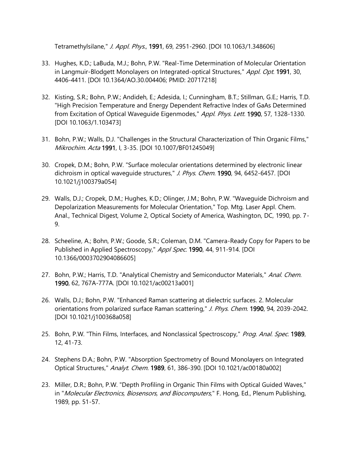Tetramethylsilane," J. Appl. Phys., 1991, 69, 2951-2960. [DOI 10.1063/1.348606]

- 33. Hughes, K.D.; LaBuda, M.J.; Bohn, P.W. "Real-Time Determination of Molecular Orientation in Langmuir-Blodgett Monolayers on Integrated-optical Structures," Appl. Opt. 1991, 30, 4406-4411. [DOI 10.1364/AO.30.004406; PMID: 20717218]
- 32. Kisting, S.R.; Bohn, P.W.; Andideh, E.; Adesida, I.; Cunningham, B.T.; Stillman, G.E.; Harris, T.D. "High Precision Temperature and Energy Dependent Refractive Index of GaAs Determined from Excitation of Optical Waveguide Eigenmodes," Appl. Phys. Lett. 1990, 57, 1328-1330. [DOI 10.1063/1.103473]
- 31. Bohn, P.W.; Walls, D.J. "Challenges in the Structural Characterization of Thin Organic Films," Mikrochim. Acta 1991, I, 3-35. [DOI 10.1007/BF01245049]
- 30. Cropek, D.M.; Bohn, P.W. "Surface molecular orientations determined by electronic linear dichroism in optical wavequide structures," J. Phys. Chem. 1990, 94, 6452-6457. [DOI 10.1021/j100379a054]
- 29. Walls, D.J.; Cropek, D.M.; Hughes, K.D.; Olinger, J.M.; Bohn, P.W. "Waveguide Dichroism and Depolarization Measurements for Molecular Orientation," Top. Mtg. Laser Appl. Chem. Anal., Technical Digest, Volume 2, Optical Society of America, Washington, DC, 1990, pp. 7- 9.
- 28. Scheeline, A.; Bohn, P.W.; Goode, S.R.; Coleman, D.M. "Camera-Ready Copy for Papers to be Published in Applied Spectroscopy," Appl Spec. 1990, 44, 911-914. [DOI 10.1366/0003702904086605]
- 27. Bohn, P.W.; Harris, T.D. "Analytical Chemistry and Semiconductor Materials," Anal. Chem. 1990, 62, 767A-777A. [DOI 10.1021/ac00213a001]
- 26. Walls, D.J.; Bohn, P.W. "Enhanced Raman scattering at dielectric surfaces. 2. Molecular orientations from polarized surface Raman scattering," J. Phys. Chem. 1990, 94, 2039-2042. [DOI 10.1021/j100368a058]
- 25. Bohn, P.W. "Thin Films, Interfaces, and Nonclassical Spectroscopy," Prog. Anal. Spec. 1989, 12, 41-73.
- 24. Stephens D.A.; Bohn, P.W. "Absorption Spectrometry of Bound Monolayers on Integrated Optical Structures," Analyt. Chem. 1989, 61, 386-390. [DOI 10.1021/ac00180a002]
- 23. Miller, D.R.; Bohn, P.W. "Depth Profiling in Organic Thin Films with Optical Guided Waves," in "*Molecular Electronics, Biosensors, and Biocomputers*," F. Hong, Ed., Plenum Publishing, 1989, pp. 51-57.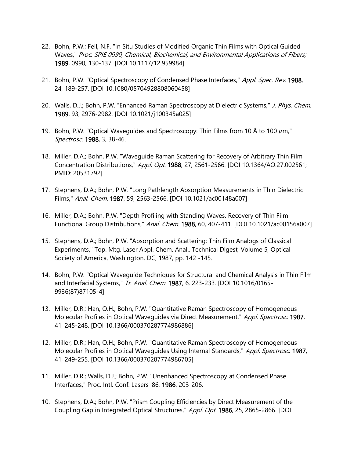- 22. Bohn, P.W.; Fell, N.F. "In Situ Studies of Modified Organic Thin Films with Optical Guided Waves," Proc. SPIE 0990, Chemical, Biochemical, and Environmental Applications of Fibers; 1989, 0990, 130-137. [DOI 10.1117/12.959984]
- 21. Bohn, P.W. "Optical Spectroscopy of Condensed Phase Interfaces," Appl. Spec. Rev. 1988, 24, 189-257. [DOI 10.1080/05704928808060458]
- 20. Walls, D.J.; Bohn, P.W. "Enhanced Raman Spectroscopy at Dielectric Systems," J. Phys. Chem. 1989, 93, 2976-2982. [DOI 10.1021/j100345a025]
- 19. Bohn, P.W. "Optical Wavequides and Spectroscopy: Thin Films from 10 Å to 100  $\mu$ m," Spectrosc. 1988, 3, 38-46.
- 18. Miller, D.A.; Bohn, P.W. "Waveguide Raman Scattering for Recovery of Arbitrary Thin Film Concentration Distributions," Appl. Opt. 1988, 27, 2561-2566. [DOI 10.1364/AO.27.002561; PMID: 20531792]
- 17. Stephens, D.A.; Bohn, P.W. "Long Pathlength Absorption Measurements in Thin Dielectric Films," Anal. Chem. 1987, 59, 2563-2566. [DOI 10.1021/ac00148a007]
- 16. Miller, D.A.; Bohn, P.W. "Depth Profiling with Standing Waves. Recovery of Thin Film Functional Group Distributions," Anal. Chem. 1988, 60, 407-411. [DOI 10.1021/ac00156a007]
- 15. Stephens, D.A.; Bohn, P.W. "Absorption and Scattering: Thin Film Analogs of Classical Experiments," Top. Mtg. Laser Appl. Chem. Anal., Technical Digest, Volume 5, Optical Society of America, Washington, DC, 1987, pp. 142 -145.
- 14. Bohn, P.W. "Optical Waveguide Techniques for Structural and Chemical Analysis in Thin Film and Interfacial Systems," Tr. Anal. Chem. 1987, 6, 223-233. [DOI 10.1016/0165-9936(87)87105-4]
- 13. Miller, D.R.; Han, O.H.; Bohn, P.W. "Quantitative Raman Spectroscopy of Homogeneous Molecular Profiles in Optical Waveguides via Direct Measurement," Appl. Spectrosc. 1987, 41, 245-248. [DOI 10.1366/000370287774986886]
- 12. Miller, D.R.; Han, O.H.; Bohn, P.W. "Quantitative Raman Spectroscopy of Homogeneous Molecular Profiles in Optical Waveguides Using Internal Standards," Appl. Spectrosc. 1987, 41, 249-255. [DOI 10.1366/000370287774986705]
- 11. Miller, D.R.; Walls, D.J.; Bohn, P.W. "Unenhanced Spectroscopy at Condensed Phase Interfaces," Proc. Intl. Conf. Lasers '86, 1986, 203-206.
- 10. Stephens, D.A.; Bohn, P.W. "Prism Coupling Efficiencies by Direct Measurement of the Coupling Gap in Integrated Optical Structures," Appl. Opt. 1986, 25, 2865-2866. [DOI